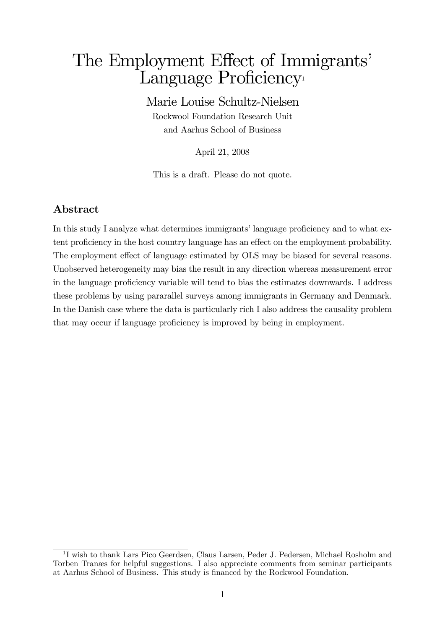# The Employment Effect of Immigrants<sup>'</sup> Language Proficiency<sup>1</sup>

# Marie Louise Schultz-Nielsen

Rockwool Foundation Research Unit and Aarhus School of Business

April 21, 2008

This is a draft. Please do not quote.

# Abstract

In this study I analyze what determines immigrants' language proficiency and to what extent proficiency in the host country language has an effect on the employment probability. The employment effect of language estimated by OLS may be biased for several reasons. Unobserved heterogeneity may bias the result in any direction whereas measurement error in the language proficiency variable will tend to bias the estimates downwards. I address these problems by using pararallel surveys among immigrants in Germany and Denmark. In the Danish case where the data is particularly rich I also address the causality problem that may occur if language proficiency is improved by being in employment.

<sup>&</sup>lt;sup>1</sup>I wish to thank Lars Pico Geerdsen, Claus Larsen, Peder J. Pedersen, Michael Rosholm and Torben Tranges for helpful suggestions. I also appreciate comments from seminar participants at Aarhus School of Business. This study is Önanced by the Rockwool Foundation.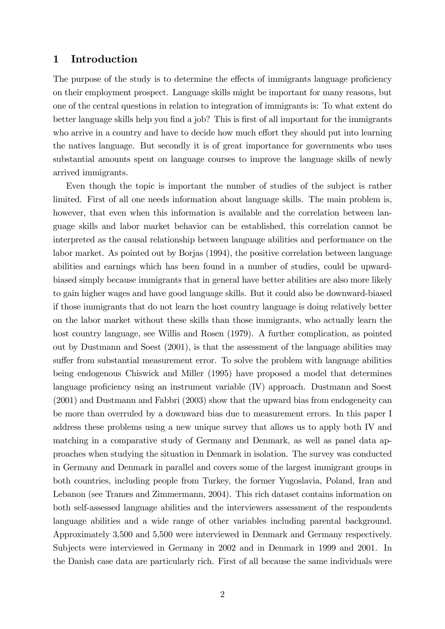#### 1 Introduction

The purpose of the study is to determine the effects of immigrants language proficiency on their employment prospect. Language skills might be important for many reasons, but one of the central questions in relation to integration of immigrants is: To what extent do better language skills help you find a job? This is first of all important for the immigrants who arrive in a country and have to decide how much effort they should put into learning the natives language. But secondly it is of great importance for governments who uses substantial amounts spent on language courses to improve the language skills of newly arrived immigrants.

Even though the topic is important the number of studies of the subject is rather limited. First of all one needs information about language skills. The main problem is, however, that even when this information is available and the correlation between language skills and labor market behavior can be established, this correlation cannot be interpreted as the causal relationship between language abilities and performance on the labor market. As pointed out by Borjas (1994), the positive correlation between language abilities and earnings which has been found in a number of studies, could be upwardbiased simply because immigrants that in general have better abilities are also more likely to gain higher wages and have good language skills. But it could also be downward-biased if those immigrants that do not learn the host country language is doing relatively better on the labor market without these skills than those immigrants, who actually learn the host country language, see Willis and Rosen (1979). A further complication, as pointed out by Dustmann and Soest (2001), is that the assessment of the language abilities may suffer from substantial measurement error. To solve the problem with language abilities being endogenous Chiswick and Miller (1995) have proposed a model that determines language proficiency using an instrument variable (IV) approach. Dustmann and Soest (2001) and Dustmann and Fabbri (2003) show that the upward bias from endogeneity can be more than overruled by a downward bias due to measurement errors. In this paper I address these problems using a new unique survey that allows us to apply both IV and matching in a comparative study of Germany and Denmark, as well as panel data approaches when studying the situation in Denmark in isolation. The survey was conducted in Germany and Denmark in parallel and covers some of the largest immigrant groups in both countries, including people from Turkey, the former Yugoslavia, Poland, Iran and Lebanon (see Tranes and Zimmermann, 2004). This rich dataset contains information on both self-assessed language abilities and the interviewers assessment of the respondents language abilities and a wide range of other variables including parental background. Approximately 3,500 and 5,500 were interviewed in Denmark and Germany respectively. Subjects were interviewed in Germany in 2002 and in Denmark in 1999 and 2001. In the Danish case data are particularly rich. First of all because the same individuals were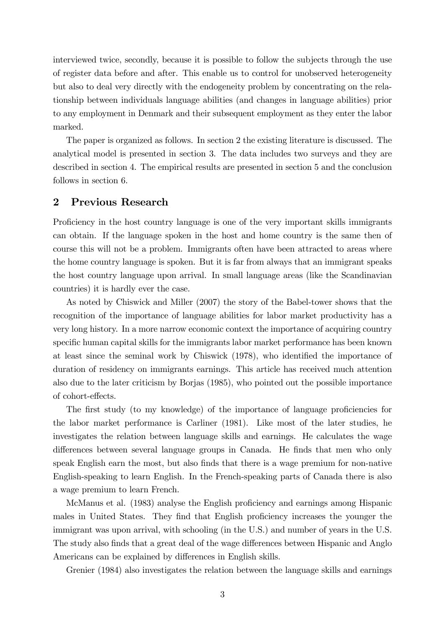interviewed twice, secondly, because it is possible to follow the subjects through the use of register data before and after. This enable us to control for unobserved heterogeneity but also to deal very directly with the endogeneity problem by concentrating on the relationship between individuals language abilities (and changes in language abilities) prior to any employment in Denmark and their subsequent employment as they enter the labor marked.

The paper is organized as follows. In section 2 the existing literature is discussed. The analytical model is presented in section 3. The data includes two surveys and they are described in section 4. The empirical results are presented in section 5 and the conclusion follows in section 6.

#### 2 Previous Research

Proficiency in the host country language is one of the very important skills immigrants can obtain. If the language spoken in the host and home country is the same then of course this will not be a problem. Immigrants often have been attracted to areas where the home country language is spoken. But it is far from always that an immigrant speaks the host country language upon arrival. In small language areas (like the Scandinavian countries) it is hardly ever the case.

As noted by Chiswick and Miller (2007) the story of the Babel-tower shows that the recognition of the importance of language abilities for labor market productivity has a very long history. In a more narrow economic context the importance of acquiring country specific human capital skills for the immigrants labor market performance has been known at least since the seminal work by Chiswick  $(1978)$ , who identified the importance of duration of residency on immigrants earnings. This article has received much attention also due to the later criticism by Borjas (1985), who pointed out the possible importance of cohort-effects.

The first study (to my knowledge) of the importance of language proficiencies for the labor market performance is Carliner (1981). Like most of the later studies, he investigates the relation between language skills and earnings. He calculates the wage differences between several language groups in Canada. He finds that men who only speak English earn the most, but also finds that there is a wage premium for non-native English-speaking to learn English. In the French-speaking parts of Canada there is also a wage premium to learn French.

McManus et al. (1983) analyse the English proficiency and earnings among Hispanic males in United States. They find that English proficiency increases the younger the immigrant was upon arrival, with schooling (in the U.S.) and number of years in the U.S. The study also finds that a great deal of the wage differences between Hispanic and Anglo Americans can be explained by differences in English skills.

Grenier (1984) also investigates the relation between the language skills and earnings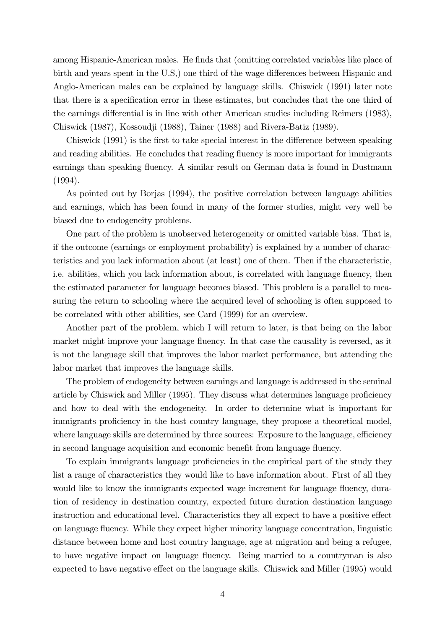among Hispanic-American males. He finds that (omitting correlated variables like place of birth and years spent in the U.S.) one third of the wage differences between Hispanic and Anglo-American males can be explained by language skills. Chiswick (1991) later note that there is a specification error in these estimates, but concludes that the one third of the earnings differential is in line with other American studies including Reimers (1983), Chiswick (1987), Kossoudji (1988), Tainer (1988) and Rivera-Batiz (1989).

Chiswick  $(1991)$  is the first to take special interest in the difference between speaking and reading abilities. He concludes that reading fluency is more important for immigrants earnings than speaking fluency. A similar result on German data is found in Dustmann (1994).

As pointed out by Borjas (1994), the positive correlation between language abilities and earnings, which has been found in many of the former studies, might very well be biased due to endogeneity problems.

One part of the problem is unobserved heterogeneity or omitted variable bias. That is, if the outcome (earnings or employment probability) is explained by a number of characteristics and you lack information about (at least) one of them. Then if the characteristic, i.e. abilities, which you lack information about, is correlated with language fluency, then the estimated parameter for language becomes biased. This problem is a parallel to measuring the return to schooling where the acquired level of schooling is often supposed to be correlated with other abilities, see Card (1999) for an overview.

Another part of the problem, which I will return to later, is that being on the labor market might improve your language fluency. In that case the causality is reversed, as it is not the language skill that improves the labor market performance, but attending the labor market that improves the language skills.

The problem of endogeneity between earnings and language is addressed in the seminal article by Chiswick and Miller (1995). They discuss what determines language proficiency and how to deal with the endogeneity. In order to determine what is important for immigrants proficiency in the host country language, they propose a theoretical model, where language skills are determined by three sources: Exposure to the language, efficiency in second language acquisition and economic benefit from language fluency.

To explain immigrants language proficiencies in the empirical part of the study they list a range of characteristics they would like to have information about. First of all they would like to know the immigrants expected wage increment for language fluency, duration of residency in destination country, expected future duration destination language instruction and educational level. Characteristics they all expect to have a positive effect on language fluency. While they expect higher minority language concentration, linguistic distance between home and host country language, age at migration and being a refugee, to have negative impact on language fluency. Being married to a countryman is also expected to have negative effect on the language skills. Chiswick and Miller (1995) would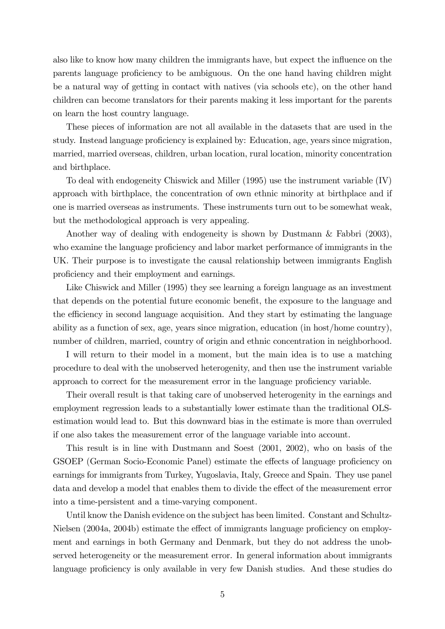also like to know how many children the immigrants have, but expect the influence on the parents language proficiency to be ambiguous. On the one hand having children might be a natural way of getting in contact with natives (via schools etc), on the other hand children can become translators for their parents making it less important for the parents on learn the host country language.

These pieces of information are not all available in the datasets that are used in the study. Instead language proficiency is explained by: Education, age, years since migration, married, married overseas, children, urban location, rural location, minority concentration and birthplace.

To deal with endogeneity Chiswick and Miller (1995) use the instrument variable (IV) approach with birthplace, the concentration of own ethnic minority at birthplace and if one is married overseas as instruments. These instruments turn out to be somewhat weak, but the methodological approach is very appealing.

Another way of dealing with endogeneity is shown by Dustmann & Fabbri (2003), who examine the language proficiency and labor market performance of immigrants in the UK. Their purpose is to investigate the causal relationship between immigrants English proficiency and their employment and earnings.

Like Chiswick and Miller (1995) they see learning a foreign language as an investment that depends on the potential future economic benefit, the exposure to the language and the efficiency in second language acquisition. And they start by estimating the language ability as a function of sex, age, years since migration, education (in host/home country), number of children, married, country of origin and ethnic concentration in neighborhood.

I will return to their model in a moment, but the main idea is to use a matching procedure to deal with the unobserved heterogenity, and then use the instrument variable approach to correct for the measurement error in the language proficiency variable.

Their overall result is that taking care of unobserved heterogenity in the earnings and employment regression leads to a substantially lower estimate than the traditional OLSestimation would lead to. But this downward bias in the estimate is more than overruled if one also takes the measurement error of the language variable into account.

This result is in line with Dustmann and Soest (2001, 2002), who on basis of the GSOEP (German Socio-Economic Panel) estimate the effects of language proficiency on earnings for immigrants from Turkey, Yugoslavia, Italy, Greece and Spain. They use panel data and develop a model that enables them to divide the effect of the measurement error into a time-persistent and a time-varying component.

Until know the Danish evidence on the subject has been limited. Constant and Schultz-Nielsen (2004a, 2004b) estimate the effect of immigrants language proficiency on employment and earnings in both Germany and Denmark, but they do not address the unobserved heterogeneity or the measurement error. In general information about immigrants language proficiency is only available in very few Danish studies. And these studies do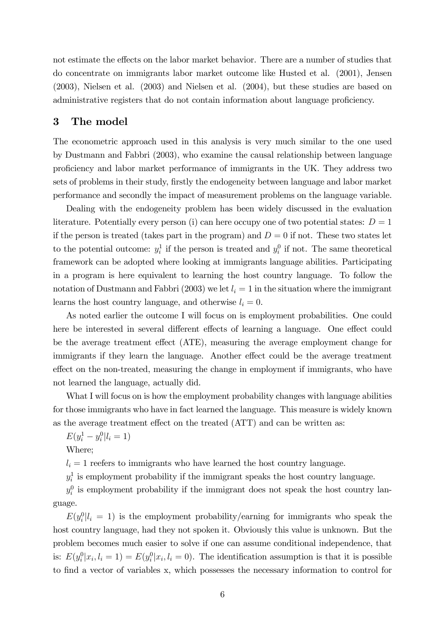not estimate the effects on the labor market behavior. There are a number of studies that do concentrate on immigrants labor market outcome like Husted et al. (2001), Jensen (2003), Nielsen et al. (2003) and Nielsen et al. (2004), but these studies are based on administrative registers that do not contain information about language proficiency.

#### 3 The model

The econometric approach used in this analysis is very much similar to the one used by Dustmann and Fabbri (2003), who examine the causal relationship between language proÖciency and labor market performance of immigrants in the UK. They address two sets of problems in their study, firstly the endogeneity between language and labor market performance and secondly the impact of measurement problems on the language variable.

Dealing with the endogeneity problem has been widely discussed in the evaluation literature. Potentially every person (i) can here occupy one of two potential states:  $D = 1$ if the person is treated (takes part in the program) and  $D = 0$  if not. These two states let to the potential outcome:  $y_i^1$  if the person is treated and  $y_i^0$  if not. The same theoretical framework can be adopted where looking at immigrants language abilities. Participating in a program is here equivalent to learning the host country language. To follow the notation of Dustmann and Fabbri (2003) we let  $l_i = 1$  in the situation where the immigrant learns the host country language, and otherwise  $l_i = 0$ .

As noted earlier the outcome I will focus on is employment probabilities. One could here be interested in several different effects of learning a language. One effect could be the average treatment effect (ATE), measuring the average employment change for immigrants if they learn the language. Another effect could be the average treatment effect on the non-treated, measuring the change in employment if immigrants, who have not learned the language, actually did.

What I will focus on is how the employment probability changes with language abilities for those immigrants who have in fact learned the language. This measure is widely known as the average treatment effect on the treated  $(ATT)$  and can be written as:

 $E(y_i^1 - y_i^0 | l_i = 1)$ 

Where;

 $l_i = 1$  reefers to immigrants who have learned the host country language.

 $y_i^1$  is employment probability if the immigrant speaks the host country language.

 $y_i^0$  is employment probability if the immigrant does not speak the host country language.

 $E(y_i^0 | l_i = 1)$  is the employment probability/earning for immigrants who speak the host country language, had they not spoken it. Obviously this value is unknown. But the problem becomes much easier to solve if one can assume conditional independence, that is:  $E(y_i^0|x_i, l_i = 1) = E(y_i^0|x_i, l_i = 0)$ . The identification assumption is that it is possible to find a vector of variables x, which possesses the necessary information to control for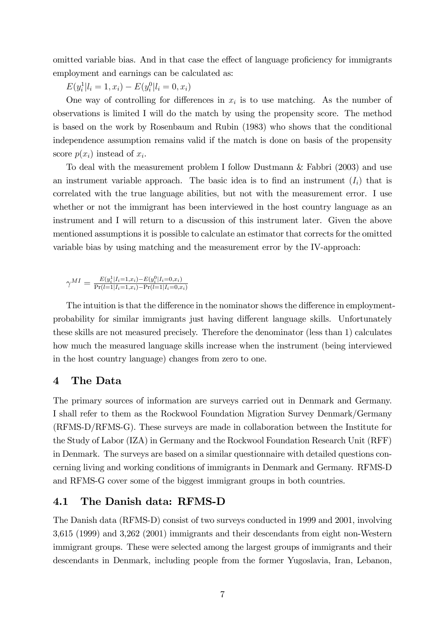omitted variable bias. And in that case the effect of language proficiency for immigrants employment and earnings can be calculated as:

 $E(y_i^1 | l_i = 1, x_i) - E(y_i^0 | l_i = 0, x_i)$ 

One way of controlling for differences in  $x_i$  is to use matching. As the number of observations is limited I will do the match by using the propensity score. The method is based on the work by Rosenbaum and Rubin (1983) who shows that the conditional independence assumption remains valid if the match is done on basis of the propensity score  $p(x_i)$  instead of  $x_i$ .

To deal with the measurement problem I follow Dustmann & Fabbri (2003) and use an instrument variable approach. The basic idea is to find an instrument  $(I_i)$  that is correlated with the true language abilities, but not with the measurement error. I use whether or not the immigrant has been interviewed in the host country language as an instrument and I will return to a discussion of this instrument later. Given the above mentioned assumptions it is possible to calculate an estimator that corrects for the omitted variable bias by using matching and the measurement error by the IV-approach:

$$
\gamma^{MI} = \frac{E(y_i^1 | I_i = 1, x_i) - E(y_i^0 | I_i = 0, x_i)}{\Pr(l=1 | I_i = 1, x_i) - \Pr(l=1 | I_i = 0, x_i)}
$$

The intuition is that the difference in the nominator shows the difference in employmentprobability for similar immigrants just having different language skills. Unfortunately these skills are not measured precisely. Therefore the denominator (less than 1) calculates how much the measured language skills increase when the instrument (being interviewed in the host country language) changes from zero to one.

# 4 The Data

The primary sources of information are surveys carried out in Denmark and Germany. I shall refer to them as the Rockwool Foundation Migration Survey Denmark/Germany (RFMS-D/RFMS-G). These surveys are made in collaboration between the Institute for the Study of Labor (IZA) in Germany and the Rockwool Foundation Research Unit (RFF) in Denmark. The surveys are based on a similar questionnaire with detailed questions concerning living and working conditions of immigrants in Denmark and Germany. RFMS-D and RFMS-G cover some of the biggest immigrant groups in both countries.

# 4.1 The Danish data: RFMS-D

The Danish data (RFMS-D) consist of two surveys conducted in 1999 and 2001, involving 3,615 (1999) and 3,262 (2001) immigrants and their descendants from eight non-Western immigrant groups. These were selected among the largest groups of immigrants and their descendants in Denmark, including people from the former Yugoslavia, Iran, Lebanon,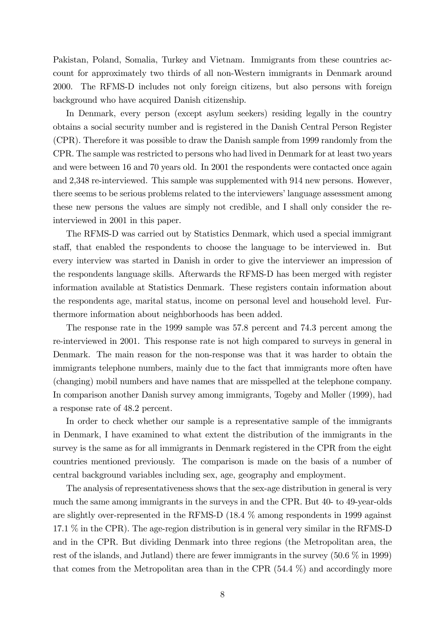Pakistan, Poland, Somalia, Turkey and Vietnam. Immigrants from these countries account for approximately two thirds of all non-Western immigrants in Denmark around 2000. The RFMS-D includes not only foreign citizens, but also persons with foreign background who have acquired Danish citizenship.

In Denmark, every person (except asylum seekers) residing legally in the country obtains a social security number and is registered in the Danish Central Person Register (CPR). Therefore it was possible to draw the Danish sample from 1999 randomly from the CPR. The sample was restricted to persons who had lived in Denmark for at least two years and were between 16 and 70 years old. In 2001 the respondents were contacted once again and 2,348 re-interviewed. This sample was supplemented with 914 new persons. However, there seems to be serious problems related to the interviewers' language assessment among these new persons the values are simply not credible, and I shall only consider the reinterviewed in 2001 in this paper.

The RFMS-D was carried out by Statistics Denmark, which used a special immigrant staff, that enabled the respondents to choose the language to be interviewed in. But every interview was started in Danish in order to give the interviewer an impression of the respondents language skills. Afterwards the RFMS-D has been merged with register information available at Statistics Denmark. These registers contain information about the respondents age, marital status, income on personal level and household level. Furthermore information about neighborhoods has been added.

The response rate in the 1999 sample was 57.8 percent and 74.3 percent among the re-interviewed in 2001. This response rate is not high compared to surveys in general in Denmark. The main reason for the non-response was that it was harder to obtain the immigrants telephone numbers, mainly due to the fact that immigrants more often have (changing) mobil numbers and have names that are misspelled at the telephone company. In comparison another Danish survey among immigrants, Togeby and Møller (1999), had a response rate of 48.2 percent.

In order to check whether our sample is a representative sample of the immigrants in Denmark, I have examined to what extent the distribution of the immigrants in the survey is the same as for all immigrants in Denmark registered in the CPR from the eight countries mentioned previously. The comparison is made on the basis of a number of central background variables including sex, age, geography and employment.

The analysis of representativeness shows that the sex-age distribution in general is very much the same among immigrants in the surveys in and the CPR. But 40- to 49-year-olds are slightly over-represented in the RFMS-D (18.4 % among respondents in 1999 against 17.1 % in the CPR). The age-region distribution is in general very similar in the RFMS-D and in the CPR. But dividing Denmark into three regions (the Metropolitan area, the rest of the islands, and Jutland) there are fewer immigrants in the survey  $(50.6\%$  in 1999) that comes from the Metropolitan area than in the CPR (54.4 %) and accordingly more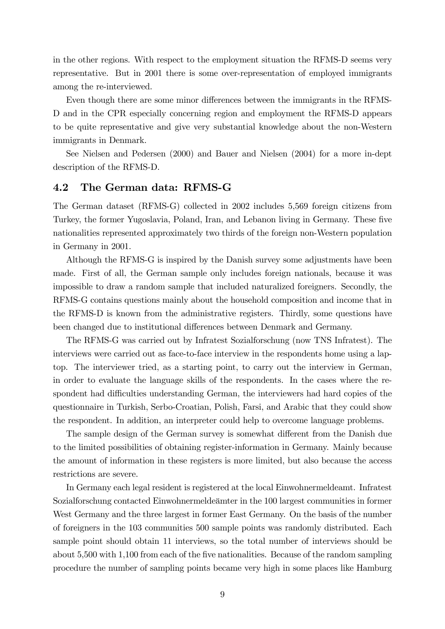in the other regions. With respect to the employment situation the RFMS-D seems very representative. But in 2001 there is some over-representation of employed immigrants among the re-interviewed.

Even though there are some minor differences between the immigrants in the RFMS-D and in the CPR especially concerning region and employment the RFMS-D appears to be quite representative and give very substantial knowledge about the non-Western immigrants in Denmark.

See Nielsen and Pedersen (2000) and Bauer and Nielsen (2004) for a more in-dept description of the RFMS-D.

#### 4.2 The German data: RFMS-G

The German dataset (RFMS-G) collected in 2002 includes 5,569 foreign citizens from Turkey, the former Yugoslavia, Poland, Iran, and Lebanon living in Germany. These Öve nationalities represented approximately two thirds of the foreign non-Western population in Germany in 2001.

Although the RFMS-G is inspired by the Danish survey some adjustments have been made. First of all, the German sample only includes foreign nationals, because it was impossible to draw a random sample that included naturalized foreigners. Secondly, the RFMS-G contains questions mainly about the household composition and income that in the RFMS-D is known from the administrative registers. Thirdly, some questions have been changed due to institutional differences between Denmark and Germany.

The RFMS-G was carried out by Infratest Sozialforschung (now TNS Infratest). The interviews were carried out as face-to-face interview in the respondents home using a laptop. The interviewer tried, as a starting point, to carry out the interview in German, in order to evaluate the language skills of the respondents. In the cases where the respondent had difficulties understanding German, the interviewers had hard copies of the questionnaire in Turkish, Serbo-Croatian, Polish, Farsi, and Arabic that they could show the respondent. In addition, an interpreter could help to overcome language problems.

The sample design of the German survey is somewhat different from the Danish due to the limited possibilities of obtaining register-information in Germany. Mainly because the amount of information in these registers is more limited, but also because the access restrictions are severe.

In Germany each legal resident is registered at the local Einwohnermeldeamt. Infratest Sozialforschung contacted Einwohnermelde‰mter in the 100 largest communities in former West Germany and the three largest in former East Germany. On the basis of the number of foreigners in the 103 communities 500 sample points was randomly distributed. Each sample point should obtain 11 interviews, so the total number of interviews should be about 5,500 with 1,100 from each of the five nationalities. Because of the random sampling procedure the number of sampling points became very high in some places like Hamburg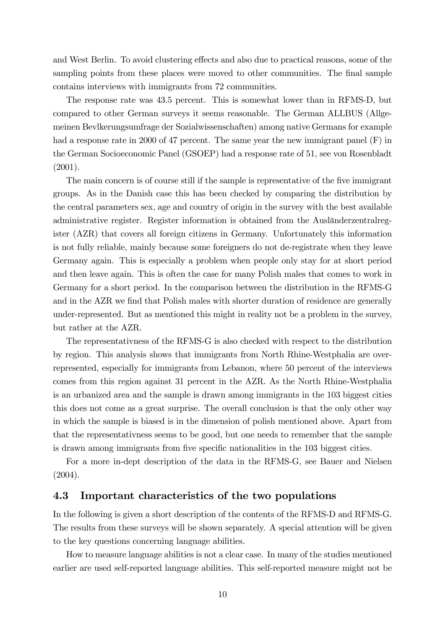and West Berlin. To avoid clustering effects and also due to practical reasons, some of the sampling points from these places were moved to other communities. The final sample contains interviews with immigrants from 72 communities.

The response rate was 43.5 percent. This is somewhat lower than in RFMS-D, but compared to other German surveys it seems reasonable. The German ALLBUS (Allgemeinen Bevlkerungsumfrage der Sozialwissenschaften) among native Germans for example had a response rate in 2000 of 47 percent. The same year the new immigrant panel  $(F)$  in the German Socioeconomic Panel (GSOEP) had a response rate of 51, see von Rosenbladt (2001).

The main concern is of course still if the sample is representative of the five immigrant groups. As in the Danish case this has been checked by comparing the distribution by the central parameters sex, age and country of origin in the survey with the best available administrative register. Register information is obtained from the Ausländerzentralregister (AZR) that covers all foreign citizens in Germany. Unfortunately this information is not fully reliable, mainly because some foreigners do not de-registrate when they leave Germany again. This is especially a problem when people only stay for at short period and then leave again. This is often the case for many Polish males that comes to work in Germany for a short period. In the comparison between the distribution in the RFMS-G and in the AZR we find that Polish males with shorter duration of residence are generally under-represented. But as mentioned this might in reality not be a problem in the survey, but rather at the AZR.

The representativness of the RFMS-G is also checked with respect to the distribution by region. This analysis shows that immigrants from North Rhine-Westphalia are overrepresented, especially for immigrants from Lebanon, where 50 percent of the interviews comes from this region against 31 percent in the AZR. As the North Rhine-Westphalia is an urbanized area and the sample is drawn among immigrants in the 103 biggest cities this does not come as a great surprise. The overall conclusion is that the only other way in which the sample is biased is in the dimension of polish mentioned above. Apart from that the representativness seems to be good, but one needs to remember that the sample is drawn among immigrants from five specific nationalities in the 103 biggest cities.

For a more in-dept description of the data in the RFMS-G, see Bauer and Nielsen (2004).

#### 4.3 Important characteristics of the two populations

In the following is given a short description of the contents of the RFMS-D and RFMS-G. The results from these surveys will be shown separately. A special attention will be given to the key questions concerning language abilities.

How to measure language abilities is not a clear case. In many of the studies mentioned earlier are used self-reported language abilities. This self-reported measure might not be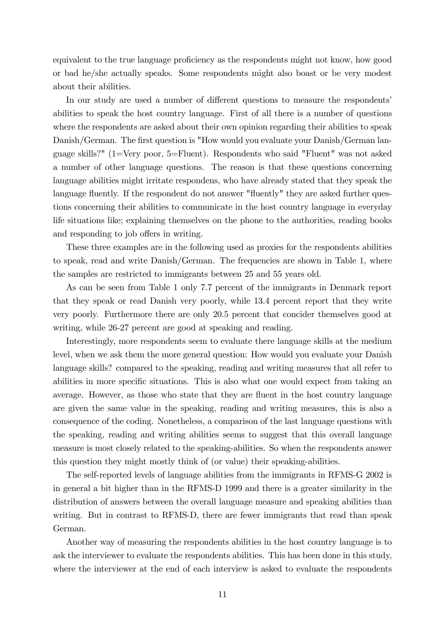equivalent to the true language proficiency as the respondents might not know, how good or bad he/she actually speaks. Some respondents might also boast or be very modest about their abilities.

In our study are used a number of different questions to measure the respondents' abilities to speak the host country language. First of all there is a number of questions where the respondents are asked about their own opinion regarding their abilities to speak Danish/German. The first question is "How would you evaluate your Danish/German language skills?" (1=Very poor, 5=Fluent). Respondents who said "Fluent" was not asked a number of other language questions. The reason is that these questions concerning language abilities might irritate respondens, who have already stated that they speak the language fluently. If the respondent do not answer "fluently" they are asked further questions concerning their abilities to communicate in the host country language in everyday life situations like; explaining themselves on the phone to the authorities, reading books and responding to job offers in writing.

These three examples are in the following used as proxies for the respondents abilities to speak, read and write Danish/German. The frequencies are shown in Table 1, where the samples are restricted to immigrants between 25 and 55 years old.

As can be seen from Table 1 only 7.7 percent of the immigrants in Denmark report that they speak or read Danish very poorly, while 13.4 percent report that they write very poorly. Furthermore there are only 20.5 percent that concider themselves good at writing, while 26-27 percent are good at speaking and reading.

Interestingly, more respondents seem to evaluate there language skills at the medium level, when we ask them the more general question: How would you evaluate your Danish language skills? compared to the speaking, reading and writing measures that all refer to abilities in more specific situations. This is also what one would expect from taking an average. However, as those who state that they are fluent in the host country language are given the same value in the speaking, reading and writing measures, this is also a consequence of the coding. Nonetheless, a comparison of the last language questions with the speaking, reading and writing abilities seems to suggest that this overall language measure is most closely related to the speaking-abilities. So when the respondents answer this question they might mostly think of (or value) their speaking-abilities.

The self-reported levels of language abilities from the immigrants in RFMS-G 2002 is in general a bit higher than in the RFMS-D 1999 and there is a greater similarity in the distribution of answers between the overall language measure and speaking abilities than writing. But in contrast to RFMS-D, there are fewer immigrants that read than speak German.

Another way of measuring the respondents abilities in the host country language is to ask the interviewer to evaluate the respondents abilities. This has been done in this study, where the interviewer at the end of each interview is asked to evaluate the respondents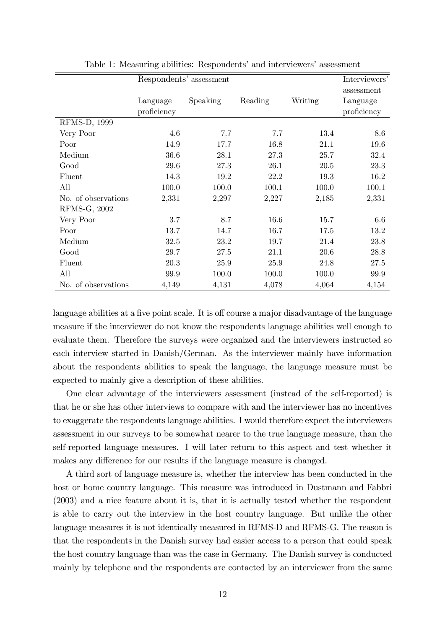|                     | Respondents' assessment |          |         |         | Interviewers' |
|---------------------|-------------------------|----------|---------|---------|---------------|
|                     |                         |          |         |         | assessment    |
|                     | Language                | Speaking | Reading | Writing | Language      |
|                     | proficiency             |          |         |         | proficiency   |
| RFMS-D, 1999        |                         |          |         |         |               |
| Very Poor           | 4.6                     | 7.7      | 7.7     | 13.4    | 8.6           |
| Poor                | 14.9                    | 17.7     | 16.8    | 21.1    | 19.6          |
| Medium              | 36.6                    | 28.1     | 27.3    | 25.7    | 32.4          |
| Good                | 29.6                    | 27.3     | 26.1    | 20.5    | 23.3          |
| Fluent              | 14.3                    | 19.2     | 22.2    | 19.3    | 16.2          |
| All                 | 100.0                   | 100.0    | 100.1   | 100.0   | 100.1         |
| No. of observations | 2,331                   | 2,297    | 2,227   | 2,185   | 2,331         |
| RFMS-G, 2002        |                         |          |         |         |               |
| Very Poor           | 3.7                     | 8.7      | 16.6    | 15.7    | 6.6           |
| Poor                | 13.7                    | 14.7     | 16.7    | 17.5    | 13.2          |
| Medium              | 32.5                    | 23.2     | 19.7    | 21.4    | 23.8          |
| Good                | 29.7                    | 27.5     | 21.1    | 20.6    | 28.8          |
| Fluent              | 20.3                    | 25.9     | 25.9    | 24.8    | 27.5          |
| All                 | 99.9                    | 100.0    | 100.0   | 100.0   | 99.9          |
| No. of observations | 4,149                   | 4,131    | 4,078   | 4,064   | 4,154         |

Table 1: Measuring abilities: Respondents' and interviewers' assessment

language abilities at a five point scale. It is off course a major disadvantage of the language measure if the interviewer do not know the respondents language abilities well enough to evaluate them. Therefore the surveys were organized and the interviewers instructed so each interview started in Danish/German. As the interviewer mainly have information about the respondents abilities to speak the language, the language measure must be expected to mainly give a description of these abilities.

One clear advantage of the interviewers assessment (instead of the self-reported) is that he or she has other interviews to compare with and the interviewer has no incentives to exaggerate the respondents language abilities. I would therefore expect the interviewers assessment in our surveys to be somewhat nearer to the true language measure, than the self-reported language measures. I will later return to this aspect and test whether it makes any difference for our results if the language measure is changed.

A third sort of language measure is, whether the interview has been conducted in the host or home country language. This measure was introduced in Dustmann and Fabbri (2003) and a nice feature about it is, that it is actually tested whether the respondent is able to carry out the interview in the host country language. But unlike the other language measures it is not identically measured in RFMS-D and RFMS-G. The reason is that the respondents in the Danish survey had easier access to a person that could speak the host country language than was the case in Germany. The Danish survey is conducted mainly by telephone and the respondents are contacted by an interviewer from the same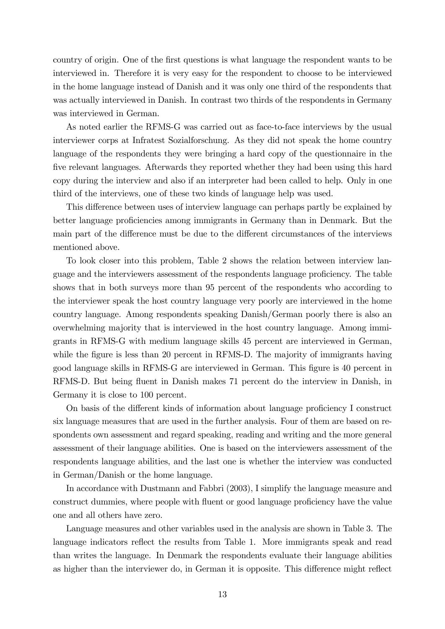country of origin. One of the first questions is what language the respondent wants to be interviewed in. Therefore it is very easy for the respondent to choose to be interviewed in the home language instead of Danish and it was only one third of the respondents that was actually interviewed in Danish. In contrast two thirds of the respondents in Germany was interviewed in German.

As noted earlier the RFMS-G was carried out as face-to-face interviews by the usual interviewer corps at Infratest Sozialforschung. As they did not speak the home country language of the respondents they were bringing a hard copy of the questionnaire in the five relevant languages. Afterwards they reported whether they had been using this hard copy during the interview and also if an interpreter had been called to help. Only in one third of the interviews, one of these two kinds of language help was used.

This difference between uses of interview language can perhaps partly be explained by better language proficiencies among immigrants in Germany than in Denmark. But the main part of the difference must be due to the different circumstances of the interviews mentioned above.

To look closer into this problem, Table 2 shows the relation between interview language and the interviewers assessment of the respondents language proficiency. The table shows that in both surveys more than 95 percent of the respondents who according to the interviewer speak the host country language very poorly are interviewed in the home country language. Among respondents speaking Danish/German poorly there is also an overwhelming majority that is interviewed in the host country language. Among immigrants in RFMS-G with medium language skills 45 percent are interviewed in German, while the figure is less than 20 percent in RFMS-D. The majority of immigrants having good language skills in RFMS-G are interviewed in German. This figure is 40 percent in RFMS-D. But being fluent in Danish makes 71 percent do the interview in Danish, in Germany it is close to 100 percent.

On basis of the different kinds of information about language proficiency I construct six language measures that are used in the further analysis. Four of them are based on respondents own assessment and regard speaking, reading and writing and the more general assessment of their language abilities. One is based on the interviewers assessment of the respondents language abilities, and the last one is whether the interview was conducted in German/Danish or the home language.

In accordance with Dustmann and Fabbri (2003), I simplify the language measure and construct dummies, where people with fluent or good language proficiency have the value one and all others have zero.

Language measures and other variables used in the analysis are shown in Table 3. The language indicators reflect the results from Table 1. More immigrants speak and read than writes the language. In Denmark the respondents evaluate their language abilities as higher than the interviewer do, in German it is opposite. This difference might reflect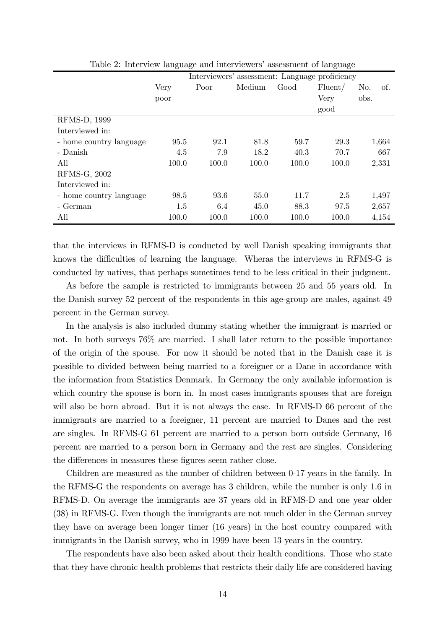|                         |       | Interviewers' assessment: Language proficiency |        |       |         |      |       |
|-------------------------|-------|------------------------------------------------|--------|-------|---------|------|-------|
|                         | Very  | Poor                                           | Medium | Good  | Fluent/ | No.  | of.   |
|                         | poor  |                                                |        |       | Very    | obs. |       |
|                         |       |                                                |        |       | good    |      |       |
| RFMS-D, 1999            |       |                                                |        |       |         |      |       |
| Interviewed in:         |       |                                                |        |       |         |      |       |
| - home country language | 95.5  | 92.1                                           | 81.8   | 59.7  | 29.3    |      | 1,664 |
| - Danish                | 4.5   | 7.9                                            | 18.2   | 40.3  | 70.7    |      | 667   |
| All                     | 100.0 | 100.0                                          | 100.0  | 100.0 | 100.0   |      | 2,331 |
| RFMS-G, 2002            |       |                                                |        |       |         |      |       |
| Interviewed in:         |       |                                                |        |       |         |      |       |
| - home country language | 98.5  | 93.6                                           | 55.0   | 11.7  | 2.5     |      | 1,497 |
| - German                | 1.5   | 6.4                                            | 45.0   | 88.3  | 97.5    |      | 2,657 |
| All                     | 100.0 | 100.0                                          | 100.0  | 100.0 | 100.0   |      | 4,154 |

Table 2: Interview language and interviewers' assessment of language

that the interviews in RFMS-D is conducted by well Danish speaking immigrants that knows the difficulties of learning the language. Wheras the interviews in RFMS-G is conducted by natives, that perhaps sometimes tend to be less critical in their judgment.

As before the sample is restricted to immigrants between 25 and 55 years old. In the Danish survey 52 percent of the respondents in this age-group are males, against 49 percent in the German survey.

In the analysis is also included dummy stating whether the immigrant is married or not. In both surveys 76% are married. I shall later return to the possible importance of the origin of the spouse. For now it should be noted that in the Danish case it is possible to divided between being married to a foreigner or a Dane in accordance with the information from Statistics Denmark. In Germany the only available information is which country the spouse is born in. In most cases immigrants spouses that are foreign will also be born abroad. But it is not always the case. In RFMS-D 66 percent of the immigrants are married to a foreigner, 11 percent are married to Danes and the rest are singles. In RFMS-G 61 percent are married to a person born outside Germany, 16 percent are married to a person born in Germany and the rest are singles. Considering the differences in measures these figures seem rather close.

Children are measured as the number of children between 0-17 years in the family. In the RFMS-G the respondents on average has 3 children, while the number is only 1.6 in RFMS-D. On average the immigrants are 37 years old in RFMS-D and one year older (38) in RFMS-G. Even though the immigrants are not much older in the German survey they have on average been longer timer (16 years) in the host country compared with immigrants in the Danish survey, who in 1999 have been 13 years in the country.

The respondents have also been asked about their health conditions. Those who state that they have chronic health problems that restricts their daily life are considered having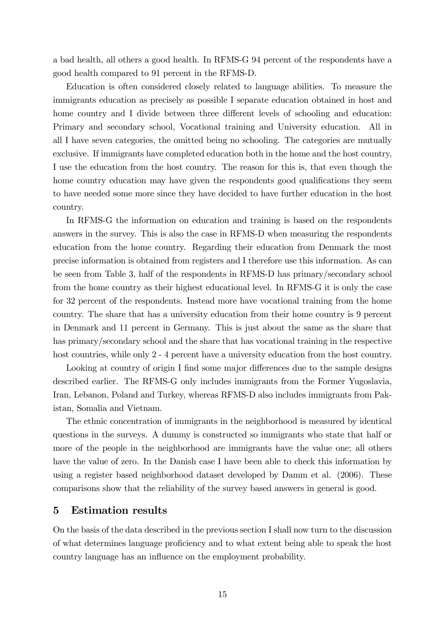a bad health, all others a good health. In RFMS-G 94 percent of the respondents have a good health compared to 91 percent in the RFMS-D.

Education is often considered closely related to language abilities. To measure the immigrants education as precisely as possible I separate education obtained in host and home country and I divide between three different levels of schooling and education: Primary and secondary school, Vocational training and University education. All in all I have seven categories, the omitted being no schooling. The categories are mutually exclusive. If immigrants have completed education both in the home and the host country, I use the education from the host country. The reason for this is, that even though the home country education may have given the respondents good qualifications they seem to have needed some more since they have decided to have further education in the host country.

In RFMS-G the information on education and training is based on the respondents answers in the survey. This is also the case in RFMS-D when measuring the respondents education from the home country. Regarding their education from Denmark the most precise information is obtained from registers and I therefore use this information. As can be seen from Table 3, half of the respondents in RFMS-D has primary/secondary school from the home country as their highest educational level. In RFMS-G it is only the case for 32 percent of the respondents. Instead more have vocational training from the home country. The share that has a university education from their home country is 9 percent in Denmark and 11 percent in Germany. This is just about the same as the share that has primary/secondary school and the share that has vocational training in the respective host countries, while only 2 - 4 percent have a university education from the host country.

Looking at country of origin I find some major differences due to the sample designs described earlier. The RFMS-G only includes immigrants from the Former Yugoslavia, Iran, Lebanon, Poland and Turkey, whereas RFMS-D also includes immigrants from Pakistan, Somalia and Vietnam.

The ethnic concentration of immigrants in the neighborhood is measured by identical questions in the surveys. A dummy is constructed so immigrants who state that half or more of the people in the neighborhood are immigrants have the value one; all others have the value of zero. In the Danish case I have been able to check this information by using a register based neighborhood dataset developed by Damm et al. (2006). These comparisons show that the reliability of the survey based answers in general is good.

#### 5 Estimation results

On the basis of the data described in the previous section I shall now turn to the discussion of what determines language proficiency and to what extent being able to speak the host country language has an influence on the employment probability.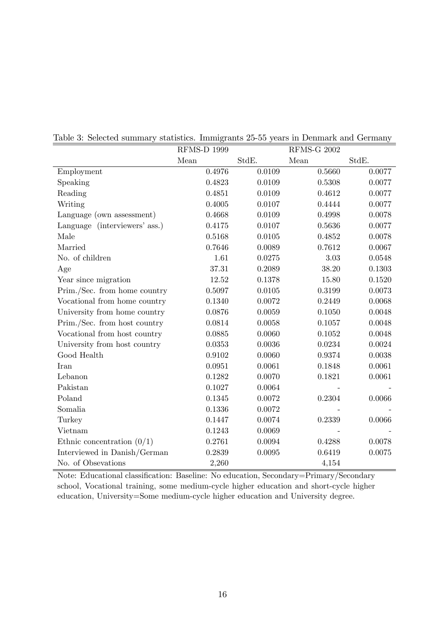|                               | <b>RFMS-D 1999</b> |        | <b>RFMS-G 2002</b> |        |
|-------------------------------|--------------------|--------|--------------------|--------|
|                               | Mean               | StdE.  | Mean               | StdE.  |
| Employment                    | 0.4976             | 0.0109 | 0.5660             | 0.0077 |
| Speaking                      | 0.4823             | 0.0109 | 0.5308             | 0.0077 |
| Reading                       | 0.4851             | 0.0109 | 0.4612             | 0.0077 |
| Writing                       | 0.4005             | 0.0107 | 0.4444             | 0.0077 |
| Language (own assessment)     | 0.4668             | 0.0109 | 0.4998             | 0.0078 |
| Language (interviewers' ass.) | 0.4175             | 0.0107 | 0.5636             | 0.0077 |
| Male                          | 0.5168             | 0.0105 | 0.4852             | 0.0078 |
| Married                       | 0.7646             | 0.0089 | 0.7612             | 0.0067 |
| No. of children               | 1.61               | 0.0275 | 3.03               | 0.0548 |
| Age                           | 37.31              | 0.2089 | 38.20              | 0.1303 |
| Year since migration          | 12.52              | 0.1378 | 15.80              | 0.1520 |
| Prim./Sec. from home country  | 0.5097             | 0.0105 | 0.3199             | 0.0073 |
| Vocational from home country  | 0.1340             | 0.0072 | 0.2449             | 0.0068 |
| University from home country  | 0.0876             | 0.0059 | 0.1050             | 0.0048 |
| Prim./Sec. from host country  | 0.0814             | 0.0058 | 0.1057             | 0.0048 |
| Vocational from host country  | 0.0885             | 0.0060 | 0.1052             | 0.0048 |
| University from host country  | 0.0353             | 0.0036 | 0.0234             | 0.0024 |
| Good Health                   | 0.9102             | 0.0060 | 0.9374             | 0.0038 |
| Iran                          | 0.0951             | 0.0061 | 0.1848             | 0.0061 |
| Lebanon                       | 0.1282             | 0.0070 | 0.1821             | 0.0061 |
| Pakistan                      | 0.1027             | 0.0064 |                    |        |
| Poland                        | 0.1345             | 0.0072 | 0.2304             | 0.0066 |
| Somalia                       | 0.1336             | 0.0072 |                    |        |
| Turkey                        | 0.1447             | 0.0074 | 0.2339             | 0.0066 |
| Vietnam                       | 0.1243             | 0.0069 |                    |        |
| Ethnic concentration $(0/1)$  | 0.2761             | 0.0094 | 0.4288             | 0.0078 |
| Interviewed in Danish/German  | 0.2839             | 0.0095 | 0.6419             | 0.0075 |
| No. of Obsevations            | 2,260              |        | 4,154              |        |

Table 3: Selected summary statistics. Immigrants 25-55 years in Denmark and Germany

Note: Educational classification: Baseline: No education, Secondary=Primary/Secondary school, Vocational training, some medium-cycle higher education and short-cycle higher education, University=Some medium-cycle higher education and University degree.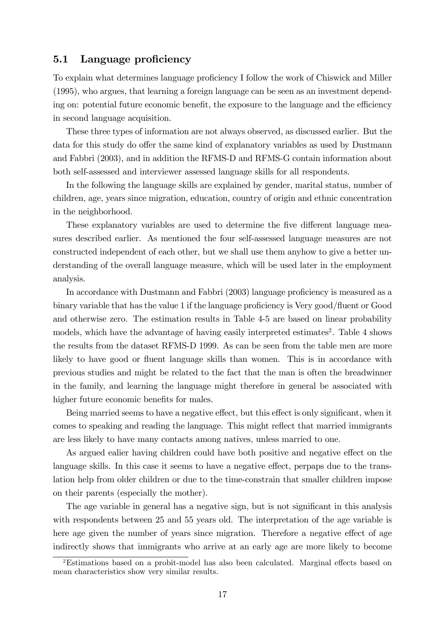#### 5.1 Language proficiency

To explain what determines language proficiency I follow the work of Chiswick and Miller (1995), who argues, that learning a foreign language can be seen as an investment depending on: potential future economic benefit, the exposure to the language and the efficiency in second language acquisition.

These three types of information are not always observed, as discussed earlier. But the data for this study do offer the same kind of explanatory variables as used by Dustmann and Fabbri (2003), and in addition the RFMS-D and RFMS-G contain information about both self-assessed and interviewer assessed language skills for all respondents.

In the following the language skills are explained by gender, marital status, number of children, age, years since migration, education, country of origin and ethnic concentration in the neighborhood.

These explanatory variables are used to determine the five different language measures described earlier. As mentioned the four self-assessed language measures are not constructed independent of each other, but we shall use them anyhow to give a better understanding of the overall language measure, which will be used later in the employment analysis.

In accordance with Dustmann and Fabbri (2003) language proficiency is measured as a binary variable that has the value 1 if the language proficiency is Very good/fluent or Good and otherwise zero. The estimation results in Table 4-5 are based on linear probability models, which have the advantage of having easily interpreted estimates<sup>2</sup>. Table 4 shows the results from the dataset RFMS-D 1999. As can be seen from the table men are more likely to have good or fluent language skills than women. This is in accordance with previous studies and might be related to the fact that the man is often the breadwinner in the family, and learning the language might therefore in general be associated with higher future economic benefits for males.

Being married seems to have a negative effect, but this effect is only significant, when it comes to speaking and reading the language. This might reflect that married immigrants are less likely to have many contacts among natives, unless married to one.

As argued ealier having children could have both positive and negative effect on the language skills. In this case it seems to have a negative effect, perpaps due to the translation help from older children or due to the time-constrain that smaller children impose on their parents (especially the mother).

The age variable in general has a negative sign, but is not significant in this analysis with respondents between 25 and 55 years old. The interpretation of the age variable is here age given the number of years since migration. Therefore a negative effect of age indirectly shows that immigrants who arrive at an early age are more likely to become

<sup>&</sup>lt;sup>2</sup>Estimations based on a probit-model has also been calculated. Marginal effects based on mean characteristics show very similar results.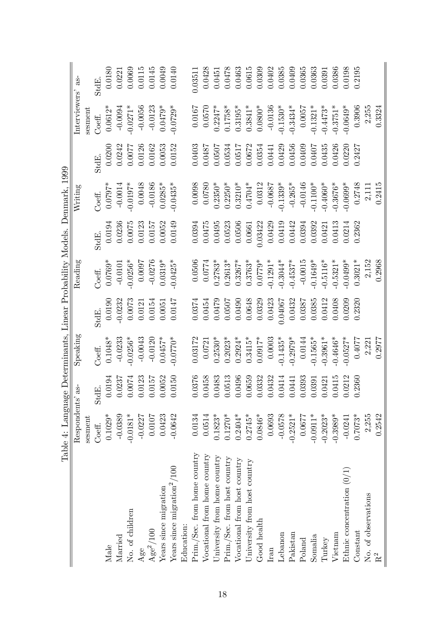|                                         | Table 4: Language Determinants, Linear Probability Models. |                |             |                                                                        |                                                              |                      | Denmark, 1999          |                  |                          |                      |
|-----------------------------------------|------------------------------------------------------------|----------------|-------------|------------------------------------------------------------------------|--------------------------------------------------------------|----------------------|------------------------|------------------|--------------------------|----------------------|
|                                         | $\operatorname{Response}$                                  | a <sub>5</sub> | Speaking    |                                                                        | Reading                                                      |                      | $\rm{Writing}$         |                  | Interviewers'            | $\ddot{a}$           |
|                                         | sesment                                                    |                |             |                                                                        |                                                              |                      |                        |                  | sesment                  |                      |
|                                         | $\mathrm{Coeff}.$                                          | StdE.          | Coeff.      | StdE.                                                                  | Coeff.                                                       | StdE.                | Coeff.                 | StdE.            | Coeff.                   | StdE.                |
| Male                                    | $0.1029*$                                                  | 0.0194         | $0.1048*$   | 0.0190                                                                 | $0.0769*$                                                    |                      | $0.0797*$              | 0.0200           | $0.0612*$                | 0.0180               |
| Married                                 | $-0.0389$                                                  | 0.0237         | $-0.0233$   | $-0.0232$                                                              |                                                              | 0.0194<br>0.0236     | $-0.0014$              | 0.0242           | $-0.0094$                | 0.0221               |
| No. of children                         | $-0.0181*$                                                 | 0.0074         | $-0.0256*$  | 0.0073                                                                 | $-0.0101$<br>$-0.0256*$                                      | 0.0075               | $-0.0197*$             | 0.0077           | $-0.0271*$               | 0.0069               |
| $\rm{Age}$                              | $-0.0227$                                                  | 0.0123         | $-0.0043$   | 0.0121                                                                 |                                                              | 0.0123               | 0.0048                 | 0.0126           | $-0.0056$                | $0.0115$<br>$0.0145$ |
| $\mathrm{Age}^2/100$                    | 0.0107                                                     | 0.0157         | $-0.0120$   | 0.0154                                                                 | $\begin{array}{c} 0.0097 \\ -0.0276 \\ 0.0319^* \end{array}$ | 0.0157               | $-0.0186$              | 0.0162           | $-0.0123$                |                      |
| Years since migration                   | 0.0423                                                     | 0.0052         | $0.0457*$   | 0.0051                                                                 |                                                              | 0.0052               | $0.0285*$              | 0.0053           | $0.0479*$                | 0.0049               |
| Years since migration <sup>2</sup> /100 | $-0.0642$                                                  | 0.0150         | $*0.770.0*$ | 0.0147                                                                 | $-0.0425*$                                                   | 0.0149               | $-0.0435*$             | 0.0152           | $-0.0729*$               | 0.0140               |
| Education:                              |                                                            |                |             |                                                                        |                                                              |                      |                        |                  |                          |                      |
| Prim./Sec. from home country            | 0.0134                                                     | 0.0376         | 0.03172     | 0.0374                                                                 | 0.0506                                                       | 0.0394               | 0.0098                 | 0.0403           | 0.0167                   | 0.3511               |
| Vocational from home country            | 0.0514                                                     | 0.0458         | 0.0721      | 0.0454                                                                 | 0.0774                                                       | 0.0475               | 0.0780                 | 1850             | 0.0570                   | 0.0428               |
| University from home country            | $0.1823*$                                                  | 0.0483         | $0.2530*$   | 0.0479                                                                 | $0.2783*$                                                    | 0.0495               | $0.2350*$              | 1.0507           | $0.2247*$                | 0.0451               |
| Prim./Sec. from host country            | $0.1270*$                                                  | 0.0513         | $0.2023*$   |                                                                        | $0.2613*$                                                    | $0.0523$<br>$0.0506$ |                        | 0.0534<br>0.0517 | $0.1758*$<br>$0.3195*$   | 0.0478               |
| Vocational from host country            | $0.2404*$                                                  | 0.0496         | $0.2924*$   |                                                                        | $0.3267*$                                                    |                      | $0.2250*$<br>$0.3210*$ |                  |                          | 0.0463               |
| University from host country            | $0.2745*$                                                  | 0.0659         | $0.3415*$   | $\begin{array}{c} 0.0507 \\ 0.0490 \\ 0.0648 \\ 0.0648 \\ \end{array}$ | $0.3763*$                                                    | 0.0661               | $0.4704*$              | 0.0672<br>0.0354 | $0.3841*$                | $\,0.0615\,$         |
| Good health                             | $0.0846*$                                                  | 0.0332         | $0.0917*$   |                                                                        | $0.0779*$                                                    | 0.03422              | 0.0312                 |                  | $0.0800*$                | 0.0309               |
| Iran                                    | 0.0693                                                     | 0.0432         | 0.0003      | 0.0423                                                                 | $-0.1291*$                                                   |                      | $-0.0687$              |                  | $-0.0136$                | 0.0402               |
| Lebanon                                 | $-0.0578$                                                  | 0.0414         | $-0.1435*$  | 19050.0                                                                | $-0.3044*$                                                   | 0.0429<br>0.0419     | $-0.1339*$             | 0.0441<br>0.0429 | $-0.1530*$               | 0.0385               |
| Pakistan                                | $-0.2521*$                                                 | 0.0441         | $-0.2979*$  | 0.0432                                                                 | $-0.4537*$                                                   | 0.0442               | $-0.265*$              | 0.0456           | $-0.3434*$               | 0.0409               |
| Poland                                  | 0.0677                                                     | 0.0393         | 0.0144      | 0.0387                                                                 | $-0.0015$                                                    | 0.0394               | $-0.0146$              | 0.0409           | 0.0057                   | 0.0365               |
| S <sub>omalia</sub>                     | $-0.0911*$                                                 | 0.0391         | $-0.1565*$  | 0.0385                                                                 | $-0.1649*$                                                   | 0.0392               | $-0.1100*$             | 1.0407           | $-0.1321*$               | 0.0363               |
| Turkey                                  | $-0.2023*$                                                 | 0.0421         | $-0.3961*$  | 0.0412                                                                 | $-0.5116^*$                                                  | 0.0421               | $-0.4060*$             | 0.0435           | $-0.4473*$<br>$-0.3751*$ | 0.0391               |
| Vietnam                                 | $-0.3989*$                                                 | 0.0415         | $0.4646*$   | 0.0408                                                                 | $-0.5321*$                                                   | 0.0413               | $-0.3676*$             | 0.0426           |                          | 0.0386               |
| Ethnic concentration $(0/1)$            | $-0.0241$                                                  | 0.0212         | $-0.0527*$  | 0.0209                                                                 | $-0.0499*$                                                   | 0.0214               | $-0.0699*$             | 0220             | $-0.0649*$               | 0.0198               |
| Constant                                | $0.7073*$                                                  | 0.2360         | 0.4077      | 0.2320                                                                 | $0.3021*$                                                    | 0.2362               | 0.2748                 | 0.2427           | 0.3906                   | 0.2195               |
| No. of observations                     | 2,255                                                      |                | 2,221       |                                                                        | 2,152                                                        |                      | 2,111                  |                  | 2,255                    |                      |
| $\mathbf{R}^2$                          | 0.2542                                                     |                | 0.2977      |                                                                        | 0.2968                                                       |                      | 0.2415                 |                  | 0.3324                   |                      |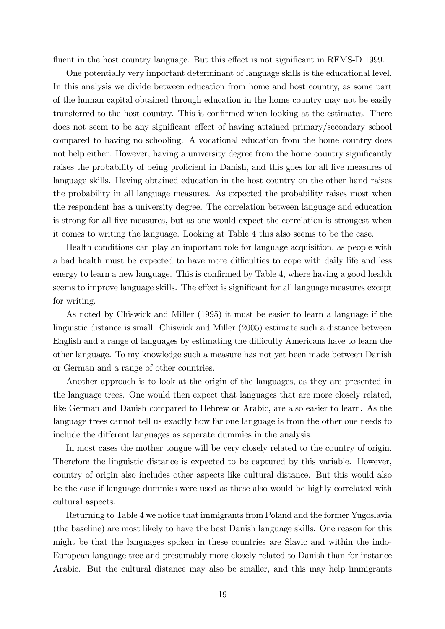fluent in the host country language. But this effect is not significant in RFMS-D 1999.

One potentially very important determinant of language skills is the educational level. In this analysis we divide between education from home and host country, as some part of the human capital obtained through education in the home country may not be easily transferred to the host country. This is confirmed when looking at the estimates. There does not seem to be any significant effect of having attained primary/secondary school compared to having no schooling. A vocational education from the home country does not help either. However, having a university degree from the home country significantly raises the probability of being proficient in Danish, and this goes for all five measures of language skills. Having obtained education in the host country on the other hand raises the probability in all language measures. As expected the probability raises most when the respondent has a university degree. The correlation between language and education is strong for all five measures, but as one would expect the correlation is strongest when it comes to writing the language. Looking at Table 4 this also seems to be the case.

Health conditions can play an important role for language acquisition, as people with a bad health must be expected to have more difficulties to cope with daily life and less energy to learn a new language. This is confirmed by Table 4, where having a good health seems to improve language skills. The effect is significant for all language measures except for writing.

As noted by Chiswick and Miller (1995) it must be easier to learn a language if the linguistic distance is small. Chiswick and Miller (2005) estimate such a distance between English and a range of languages by estimating the difficulty Americans have to learn the other language. To my knowledge such a measure has not yet been made between Danish or German and a range of other countries.

Another approach is to look at the origin of the languages, as they are presented in the language trees. One would then expect that languages that are more closely related, like German and Danish compared to Hebrew or Arabic, are also easier to learn. As the language trees cannot tell us exactly how far one language is from the other one needs to include the different languages as seperate dummies in the analysis.

In most cases the mother tongue will be very closely related to the country of origin. Therefore the linguistic distance is expected to be captured by this variable. However, country of origin also includes other aspects like cultural distance. But this would also be the case if language dummies were used as these also would be highly correlated with cultural aspects.

Returning to Table 4 we notice that immigrants from Poland and the former Yugoslavia (the baseline) are most likely to have the best Danish language skills. One reason for this might be that the languages spoken in these countries are Slavic and within the indo-European language tree and presumably more closely related to Danish than for instance Arabic. But the cultural distance may also be smaller, and this may help immigrants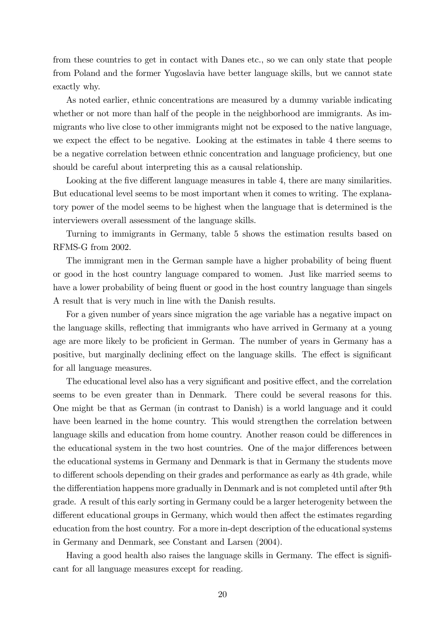from these countries to get in contact with Danes etc., so we can only state that people from Poland and the former Yugoslavia have better language skills, but we cannot state exactly why.

As noted earlier, ethnic concentrations are measured by a dummy variable indicating whether or not more than half of the people in the neighborhood are immigrants. As immigrants who live close to other immigrants might not be exposed to the native language, we expect the effect to be negative. Looking at the estimates in table 4 there seems to be a negative correlation between ethnic concentration and language proficiency, but one should be careful about interpreting this as a causal relationship.

Looking at the five different language measures in table 4, there are many similarities. But educational level seems to be most important when it comes to writing. The explanatory power of the model seems to be highest when the language that is determined is the interviewers overall assessment of the language skills.

Turning to immigrants in Germany, table 5 shows the estimation results based on RFMS-G from 2002.

The immigrant men in the German sample have a higher probability of being fluent or good in the host country language compared to women. Just like married seems to have a lower probability of being fluent or good in the host country language than singels A result that is very much in line with the Danish results.

For a given number of years since migration the age variable has a negative impact on the language skills, reflecting that immigrants who have arrived in Germany at a young age are more likely to be proficient in German. The number of years in Germany has a positive, but marginally declining effect on the language skills. The effect is significant for all language measures.

The educational level also has a very significant and positive effect, and the correlation seems to be even greater than in Denmark. There could be several reasons for this. One might be that as German (in contrast to Danish) is a world language and it could have been learned in the home country. This would strengthen the correlation between language skills and education from home country. Another reason could be differences in the educational system in the two host countries. One of the major differences between the educational systems in Germany and Denmark is that in Germany the students move to different schools depending on their grades and performance as early as 4th grade, while the differentiation happens more gradually in Denmark and is not completed until after 9th grade. A result of this early sorting in Germany could be a larger heterogenity between the different educational groups in Germany, which would then affect the estimates regarding education from the host country. For a more in-dept description of the educational systems in Germany and Denmark, see Constant and Larsen (2004).

Having a good health also raises the language skills in Germany. The effect is significant for all language measures except for reading.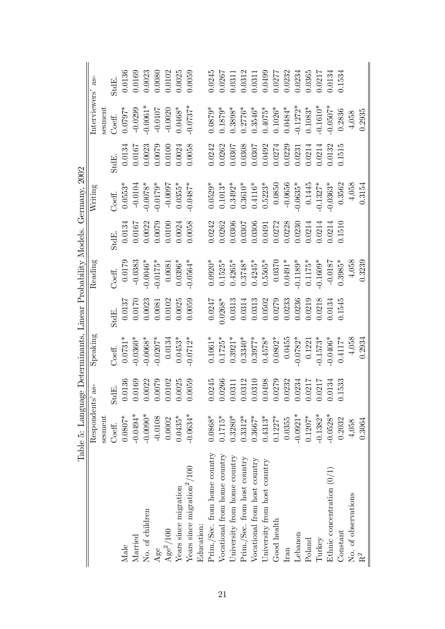|                                                     | Table 5: Language Determinants, Linear Probability Models. |                                                          |                                                                                     |                                                                     |                                                                                        |         | Germany, 2002                                                                                                                     |                                                           |                                                                                                     |                                                                     |
|-----------------------------------------------------|------------------------------------------------------------|----------------------------------------------------------|-------------------------------------------------------------------------------------|---------------------------------------------------------------------|----------------------------------------------------------------------------------------|---------|-----------------------------------------------------------------------------------------------------------------------------------|-----------------------------------------------------------|-----------------------------------------------------------------------------------------------------|---------------------------------------------------------------------|
|                                                     | Respondents <sup>'</sup>                                   | a <sub>5</sub>                                           | ${\rm Spec}$                                                                        |                                                                     | Reading                                                                                |         | $\rm{Writing}$                                                                                                                    |                                                           | Interviewers'                                                                                       | ಜೆ                                                                  |
|                                                     | sesment                                                    |                                                          |                                                                                     |                                                                     |                                                                                        |         |                                                                                                                                   |                                                           | sesmen                                                                                              |                                                                     |
|                                                     | Coeff.                                                     |                                                          | Coeff.                                                                              | StdE.                                                               | Coeff.                                                                                 | StdE.   | Coeff.                                                                                                                            | StdE.                                                     | $\mathop{\rm Coeff}\nolimits$                                                                       | 3tdE.                                                               |
| Male                                                | $0.0807*$                                                  | $\frac{\text{stdE.}}{0.0136}$<br>$\frac{0.0136}{0.0169}$ | $0.0731*$                                                                           | $\begin{array}{c} 0.0137 \\ 0.0170 \\ 0.0023 \end{array}$           | $\begin{array}{c} 0.0179 \\ -0.0383 \\ -0.0046^* \\ 0.0175^* \\ 0.0081 \\ \end{array}$ | 0.0134  | $\begin{array}{c} 0.0553^{*}\\ -0.0104\\ -0.0078^{*}\\ -0.0179^{*}\\ -0.0057\\ -0.0097\\ \end{array}$                             |                                                           | $0.0797*$                                                                                           | $\begin{array}{c} 0.0136 \\ 0.0169 \\ 0.0023 \end{array}$           |
| Married                                             | $-0.0494*$                                                 |                                                          |                                                                                     |                                                                     |                                                                                        | 0.0167  |                                                                                                                                   | $0.0134$<br>$0.0167$                                      | $-0.0299$                                                                                           |                                                                     |
| No. of children                                     | $-0.0090*$                                                 | .0022                                                    | $-0.0068*$                                                                          |                                                                     |                                                                                        | 0.0022  |                                                                                                                                   | 0.0023                                                    | $-0.0061*$                                                                                          |                                                                     |
| Age                                                 | $-0.0108$                                                  |                                                          | $-0.0207*$                                                                          |                                                                     |                                                                                        |         |                                                                                                                                   |                                                           |                                                                                                     |                                                                     |
| $\mathrm{Age}^2/100$                                | 0.0002                                                     | .0079                                                    |                                                                                     | $\frac{0.0081}{0.0102}$                                             |                                                                                        | 0.00100 |                                                                                                                                   | $0.0079$<br>$0.0100$                                      | $-0.0107$<br>$-0.0020$                                                                              | $\begin{array}{c} 0.0080 \\ 0.0102 \\ 0.0025 \end{array}$           |
| Years since migration                               | $0.0435*$                                                  | .0025                                                    | $0.0453*$                                                                           | 0.0025                                                              |                                                                                        | 0.0024  |                                                                                                                                   | 0.0024                                                    | $0.0468*$                                                                                           |                                                                     |
| Years since migration <sup>2</sup> /100             | $-0.0634*$                                                 | 0059                                                     | $-0.0712*$                                                                          | 0.0059                                                              | $-0.0564*$                                                                             | 0.0058  | $-0.0487*$                                                                                                                        | 0.0058                                                    | $-0.0737*$                                                                                          | 0.0059                                                              |
| Education:                                          |                                                            |                                                          |                                                                                     |                                                                     |                                                                                        |         |                                                                                                                                   |                                                           |                                                                                                     |                                                                     |
| Prim./Sec. from home country                        | $0.0868*$                                                  | .0245                                                    | $0.1061*$                                                                           | 0.0247                                                              | $0.0920*$                                                                              | 0.0242  | $0.0529*$<br>0.1013*                                                                                                              | 0.242                                                     | $0.0879*$                                                                                           | 0.0245                                                              |
| Vocational from home country                        | $0.1715*$                                                  | .0266                                                    | $0.1725*$                                                                           | $0.0268*$                                                           | $0.1525*$                                                                              | 0.0262  |                                                                                                                                   | 0.262                                                     | $0.1879*$                                                                                           | 0.0267                                                              |
| University from home country                        | $0.3280*$                                                  | .0311                                                    | $0.3921*$                                                                           | 0.0313                                                              | $0.4265*$                                                                              | 0.0306  | $0.3492*$                                                                                                                         | 1.0307                                                    | $0.3898*$                                                                                           | 0.0311                                                              |
| Prim./Sec. from host country                        | $0.3312*$                                                  |                                                          |                                                                                     |                                                                     |                                                                                        | 0.0307  |                                                                                                                                   |                                                           |                                                                                                     |                                                                     |
| Vocational from host country                        | $0.3667*$                                                  | $.0312$<br>$.0310$<br>$.0498$                            | $\begin{array}{c} 0.3340^{*} \\ 0.3977^{*} \\ 0.4578^{*} \\ 0.0802^{*} \end{array}$ | $\begin{array}{c} 0.0314 \\ 0.0313 \\ 0.0502 \\ 0.0279 \end{array}$ | $0.3748*$<br>$0.4245*$<br>$0.5505*$<br>$0.0370$                                        | 0.0306  | $\begin{array}{c} 0.3610^{*} \\ 0.4116^{*} \\ 0.5223^{*} \\ 0.0850 \\ 0.0656 \\ -0.0635^{*} \\ -0.0335^{*} \\ 0.1445 \end{array}$ | $\begin{array}{c} 0.0308 \\ 0.0307 \\ 0.0492 \end{array}$ | $\begin{array}{c} 0.2776^* \\ 0.3546^* \\ 0.4075^* \\ 0.1026^* \\ 0.1026^* \\ 0.0484^* \end{array}$ | $\begin{array}{c} 0.0312 \\ 0.0311 \\ 0.0499 \\ 0.0277 \end{array}$ |
| University from host country                        | $0.4313*$                                                  |                                                          |                                                                                     |                                                                     |                                                                                        | 0.0491  |                                                                                                                                   |                                                           |                                                                                                     |                                                                     |
| Good health                                         | $0.1227*$                                                  | .0279                                                    |                                                                                     |                                                                     |                                                                                        | 0.0272  |                                                                                                                                   | 0.274                                                     |                                                                                                     |                                                                     |
| $\begin{array}{c}\n\text{I}\text{ran}\n\end{array}$ | 0.0355                                                     | 0232                                                     | 0.0455                                                                              | 0.0233                                                              | $0.0491*$                                                                              | 0.0228  |                                                                                                                                   | 0.0229                                                    |                                                                                                     | 0.0232                                                              |
| Lebanon                                             | $-0.0921*$                                                 |                                                          | $-0.0782*$<br>0.1221                                                                | 0.0236<br>0.0219                                                    |                                                                                        | 0.0230  |                                                                                                                                   | 0.0231<br>0.0214                                          | $-0.1272*$<br>0.1083*                                                                               | 0.0234                                                              |
| Poland                                              | $0.1207*$                                                  | $.0234$<br>$.0217$<br>$.0217$                            |                                                                                     |                                                                     | $-0.1189*$<br>0.1175*<br>0.1609*                                                       | 0.0214  |                                                                                                                                   |                                                           |                                                                                                     |                                                                     |
| Turkey                                              | $-0.1382*$                                                 |                                                          | $-0.1573*$                                                                          | 0.0218                                                              |                                                                                        | 0.0214  | $-0.1327*$                                                                                                                        | 0.214                                                     | $-0.1610*$                                                                                          | 0.0217                                                              |
| Ethnic concentration $(0/1)$                        | $-0.0528*$                                                 | .0134                                                    | $-0.0406*$                                                                          | 0.0134                                                              | $-0.0187$                                                                              | 0.0214  |                                                                                                                                   | 0.132                                                     | $-0.0507*$                                                                                          | 0.0134                                                              |
| Constant                                            | 0.2032                                                     | 1533                                                     | $0.4117*$                                                                           | 0.1545                                                              | $0.3985*$                                                                              | 0.1510  | 0.3562                                                                                                                            | 1515                                                      | 0.2836                                                                                              | 0.1534                                                              |
| No. of observations                                 | 4,058                                                      |                                                          | 4,058                                                                               |                                                                     | 4,058                                                                                  |         | 4,058                                                                                                                             |                                                           | 4,058                                                                                               |                                                                     |
| R <sup>2</sup>                                      | 0.3064                                                     |                                                          | 0.2934                                                                              |                                                                     | 0.3239                                                                                 |         | 0.3154                                                                                                                            |                                                           | 0.2935                                                                                              |                                                                     |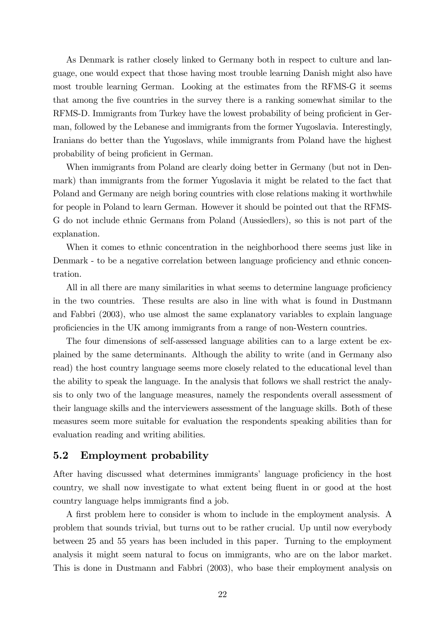As Denmark is rather closely linked to Germany both in respect to culture and language, one would expect that those having most trouble learning Danish might also have most trouble learning German. Looking at the estimates from the RFMS-G it seems that among the Öve countries in the survey there is a ranking somewhat similar to the RFMS-D. Immigrants from Turkey have the lowest probability of being proficient in German, followed by the Lebanese and immigrants from the former Yugoslavia. Interestingly, Iranians do better than the Yugoslavs, while immigrants from Poland have the highest probability of being proficient in German.

When immigrants from Poland are clearly doing better in Germany (but not in Denmark) than immigrants from the former Yugoslavia it might be related to the fact that Poland and Germany are neigh boring countries with close relations making it worthwhile for people in Poland to learn German. However it should be pointed out that the RFMS-G do not include ethnic Germans from Poland (Aussiedlers), so this is not part of the explanation.

When it comes to ethnic concentration in the neighborhood there seems just like in Denmark - to be a negative correlation between language proficiency and ethnic concentration.

All in all there are many similarities in what seems to determine language proficiency in the two countries. These results are also in line with what is found in Dustmann and Fabbri (2003), who use almost the same explanatory variables to explain language proficiencies in the UK among immigrants from a range of non-Western countries.

The four dimensions of self-assessed language abilities can to a large extent be explained by the same determinants. Although the ability to write (and in Germany also read) the host country language seems more closely related to the educational level than the ability to speak the language. In the analysis that follows we shall restrict the analysis to only two of the language measures, namely the respondents overall assessment of their language skills and the interviewers assessment of the language skills. Both of these measures seem more suitable for evaluation the respondents speaking abilities than for evaluation reading and writing abilities.

#### 5.2 Employment probability

After having discussed what determines immigrants' language proficiency in the host country, we shall now investigate to what extent being fluent in or good at the host country language helps immigrants find a job.

A first problem here to consider is whom to include in the employment analysis. A problem that sounds trivial, but turns out to be rather crucial. Up until now everybody between 25 and 55 years has been included in this paper. Turning to the employment analysis it might seem natural to focus on immigrants, who are on the labor market. This is done in Dustmann and Fabbri (2003), who base their employment analysis on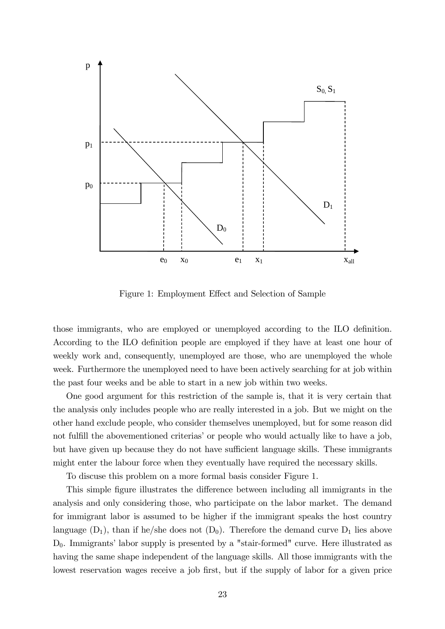

Figure 1: Employment Effect and Selection of Sample

those immigrants, who are employed or unemployed according to the ILO definition. According to the ILO definition people are employed if they have at least one hour of weekly work and, consequently, unemployed are those, who are unemployed the whole week. Furthermore the unemployed need to have been actively searching for at job within the past four weeks and be able to start in a new job within two weeks.

One good argument for this restriction of the sample is, that it is very certain that the analysis only includes people who are really interested in a job. But we might on the other hand exclude people, who consider themselves unemployed, but for some reason did not fulfill the abovementioned criterias' or people who would actually like to have a job, but have given up because they do not have sufficient language skills. These immigrants might enter the labour force when they eventually have required the necessary skills.

To discuse this problem on a more formal basis consider Figure 1.

This simple figure illustrates the difference between including all immigrants in the analysis and only considering those, who participate on the labor market. The demand for immigrant labor is assumed to be higher if the immigrant speaks the host country language  $(D_1)$ , than if he/she does not  $(D_0)$ . Therefore the demand curve  $D_1$  lies above  $D_0$ . Immigrants' labor supply is presented by a "stair-formed" curve. Here illustrated as having the same shape independent of the language skills. All those immigrants with the lowest reservation wages receive a job first, but if the supply of labor for a given price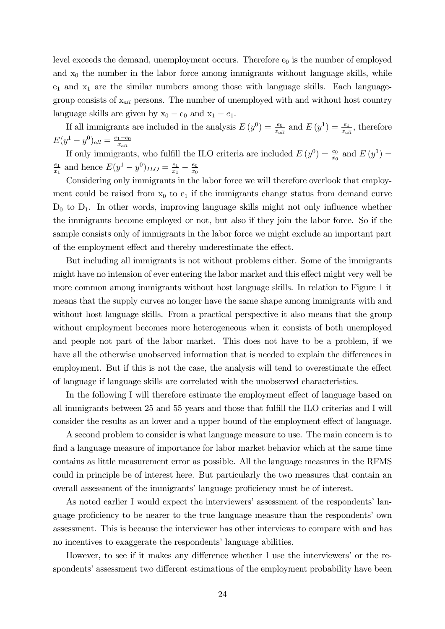level exceeds the demand, unemployment occurs. Therefore  $e_0$  is the number of employed and  $x_0$  the number in the labor force among immigrants without language skills, while  $e_1$  and  $x_1$  are the similar numbers among those with language skills. Each languagegroup consists of  $x_{all}$  persons. The number of unemployed with and without host country language skills are given by  $x_0 - e_0$  and  $x_1 - e_1$ .

If all immigrants are included in the analysis  $E(y^0) = \frac{e_0}{x_{all}}$  and  $E(y^1) = \frac{e_1}{x_{all}}$ , therefore  $E(y^1-y^0)_{all}=\frac{e_1-e_0}{x_{all}}$ 

If only immigrants, who fulfill the ILO criteria are included  $E(y^0) = \frac{e_0}{x_0}$  and  $E(y^1) =$  $e_1$  $\frac{e_1}{x_1}$  and hence  $E(y^1 - y^0)$ <sub>ILO</sub> =  $\frac{e_1}{x_1}$  $\frac{e_1}{x_1} - \frac{e_0}{x_0}$  $\bar{x}_0$ 

Considering only immigrants in the labor force we will therefore overlook that employment could be raised from  $x_0$  to  $e_1$  if the immigrants change status from demand curve  $D_0$  to  $D_1$ . In other words, improving language skills might not only influence whether the immigrants become employed or not, but also if they join the labor force. So if the sample consists only of immigrants in the labor force we might exclude an important part of the employment effect and thereby underestimate the effect.

But including all immigrants is not without problems either. Some of the immigrants might have no intension of ever entering the labor market and this effect might very well be more common among immigrants without host language skills. In relation to Figure 1 it means that the supply curves no longer have the same shape among immigrants with and without host language skills. From a practical perspective it also means that the group without employment becomes more heterogeneous when it consists of both unemployed and people not part of the labor market. This does not have to be a problem, if we have all the otherwise unobserved information that is needed to explain the differences in employment. But if this is not the case, the analysis will tend to overestimate the effect of language if language skills are correlated with the unobserved characteristics.

In the following I will therefore estimate the employment effect of language based on all immigrants between 25 and 55 years and those that fulfill the ILO criterias and I will consider the results as an lower and a upper bound of the employment effect of language.

A second problem to consider is what language measure to use. The main concern is to find a language measure of importance for labor market behavior which at the same time contains as little measurement error as possible. All the language measures in the RFMS could in principle be of interest here. But particularly the two measures that contain an overall assessment of the immigrants' language proficiency must be of interest.

As noted earlier I would expect the interviewers' assessment of the respondents' language proficiency to be nearer to the true language measure than the respondents' own assessment. This is because the interviewer has other interviews to compare with and has no incentives to exaggerate the respondents' language abilities.

However, to see if it makes any difference whether I use the interviewers' or the respondents' assessment two different estimations of the employment probability have been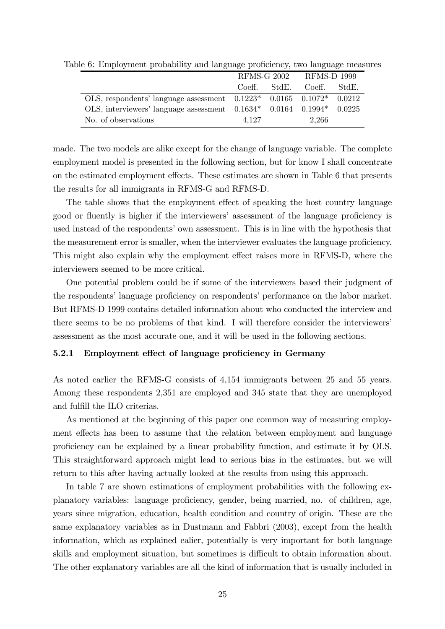|                                                                             |       |              | RFMS-G 2002 RFMS-D 1999 |  |
|-----------------------------------------------------------------------------|-------|--------------|-------------------------|--|
|                                                                             |       | Coeff. StdE. | Coeff. StdE.            |  |
| OLS, respondents' language assessment $0.1223*$ $0.0165$ $0.1072*$ $0.0212$ |       |              |                         |  |
| OLS, interviewers' language assessment $0.1634*$ 0.0164 0.1994* 0.0225      |       |              |                         |  |
| No. of observations                                                         | 4.127 |              | 2,266                   |  |

Table 6: Employment probability and language proficiency, two language measures

made. The two models are alike except for the change of language variable. The complete employment model is presented in the following section, but for know I shall concentrate on the estimated employment effects. These estimates are shown in Table 6 that presents the results for all immigrants in RFMS-G and RFMS-D.

The table shows that the employment effect of speaking the host country language good or fluently is higher if the interviewers' assessment of the language proficiency is used instead of the respondents' own assessment. This is in line with the hypothesis that the measurement error is smaller, when the interviewer evaluates the language proficiency. This might also explain why the employment effect raises more in RFMS-D, where the interviewers seemed to be more critical.

One potential problem could be if some of the interviewers based their judgment of the respondents' language proficiency on respondents' performance on the labor market. But RFMS-D 1999 contains detailed information about who conducted the interview and there seems to be no problems of that kind. I will therefore consider the interviewersí assessment as the most accurate one, and it will be used in the following sections.

#### 5.2.1 Employment effect of language proficiency in Germany

As noted earlier the RFMS-G consists of 4,154 immigrants between 25 and 55 years. Among these respondents 2,351 are employed and 345 state that they are unemployed and fulfill the ILO criterias.

As mentioned at the beginning of this paper one common way of measuring employment effects has been to assume that the relation between employment and language proÖciency can be explained by a linear probability function, and estimate it by OLS. This straightforward approach might lead to serious bias in the estimates, but we will return to this after having actually looked at the results from using this approach.

In table 7 are shown estimations of employment probabilities with the following explanatory variables: language proficiency, gender, being married, no. of children, age, years since migration, education, health condition and country of origin. These are the same explanatory variables as in Dustmann and Fabbri (2003), except from the health information, which as explained ealier, potentially is very important for both language skills and employment situation, but sometimes is difficult to obtain information about. The other explanatory variables are all the kind of information that is usually included in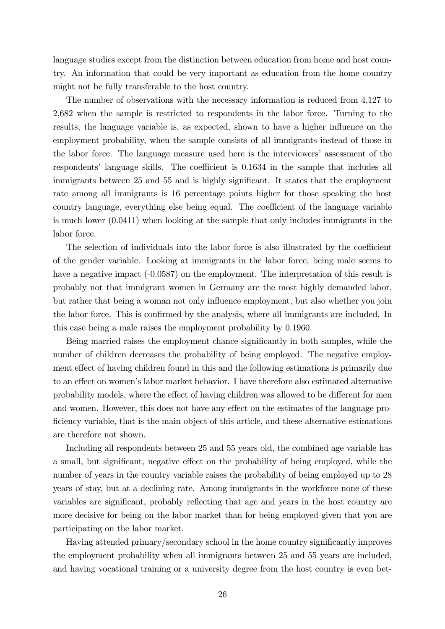language studies except from the distinction between education from home and host country. An information that could be very important as education from the home country might not be fully transferable to the host country.

The number of observations with the necessary information is reduced from 4,127 to 2,682 when the sample is restricted to respondents in the labor force. Turning to the results, the language variable is, as expected, shown to have a higher influence on the employment probability, when the sample consists of all immigrants instead of those in the labor force. The language measure used here is the interviewersí assessment of the respondents' language skills. The coefficient is 0.1634 in the sample that includes all immigrants between 25 and 55 and is highly significant. It states that the employment rate among all immigrants is 16 percentage points higher for those speaking the host country language, everything else being equal. The coefficient of the language variable is much lower (0.0411) when looking at the sample that only includes immigrants in the labor force.

The selection of individuals into the labor force is also illustrated by the coefficient of the gender variable. Looking at immigrants in the labor force, being male seems to have a negative impact (-0.0587) on the employment. The interpretation of this result is probably not that immigrant women in Germany are the most highly demanded labor, but rather that being a woman not only influence employment, but also whether you join the labor force. This is confirmed by the analysis, where all immigrants are included. In this case being a male raises the employment probability by 0.1960.

Being married raises the employment chance significantly in both samples, while the number of children decreases the probability of being employed. The negative employment effect of having children found in this and the following estimations is primarily due to an effect on women's labor market behavior. I have therefore also estimated alternative probability models, where the effect of having children was allowed to be different for men and women. However, this does not have any effect on the estimates of the language pro-Öciency variable, that is the main object of this article, and these alternative estimations are therefore not shown.

Including all respondents between 25 and 55 years old, the combined age variable has a small, but significant, negative effect on the probability of being employed, while the number of years in the country variable raises the probability of being employed up to 28 years of stay, but at a declining rate. Among immigrants in the workforce none of these variables are significant, probably reflecting that age and years in the host country are more decisive for being on the labor market than for being employed given that you are participating on the labor market.

Having attended primary/secondary school in the home country significantly improves the employment probability when all immigrants between 25 and 55 years are included, and having vocational training or a university degree from the host country is even bet-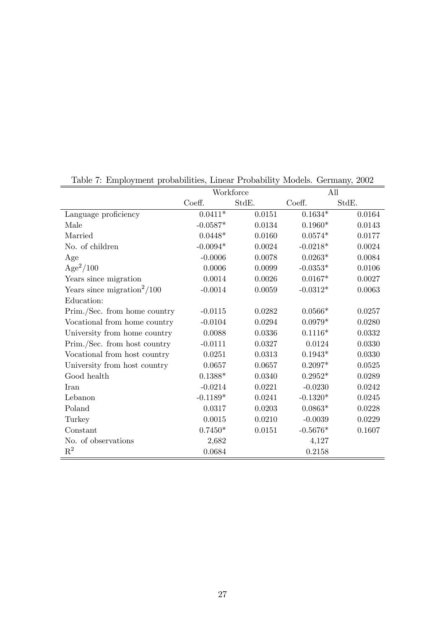|                                         |            | Workforce |                 | All    |
|-----------------------------------------|------------|-----------|-----------------|--------|
|                                         | Coeff.     | StdE.     | Coeff.          | StdE.  |
| Language proficiency                    | $0.0411*$  | 0.0151    | $0.1634*$       | 0.0164 |
| Male                                    | $-0.0587*$ | 0.0134    | $0.1960*$       | 0.0143 |
| Married                                 | $0.0448*$  | 0.0160    | $0.0574*$       | 0.0177 |
| No. of children                         | $-0.0094*$ | 0.0024    | $-0.0218*$      | 0.0024 |
| Age                                     | $-0.0006$  | 0.0078    | $0.0263*$       | 0.0084 |
| $\rm{Age}^2/100$                        | 0.0006     | 0.0099    | $-0.0353*$      | 0.0106 |
| Years since migration                   | 0.0014     | 0.0026    | $0.0167^{\ast}$ | 0.0027 |
| Years since migration <sup>2</sup> /100 | $-0.0014$  | 0.0059    | $-0.0312*$      | 0.0063 |
| Education:                              |            |           |                 |        |
| Prim./Sec. from home country            | $-0.0115$  | 0.0282    | $0.0566*$       | 0.0257 |
| Vocational from home country            | $-0.0104$  | 0.0294    | $0.0979*$       | 0.0280 |
| University from home country            | 0.0088     | 0.0336    | $0.1116*$       | 0.0332 |
| Prim./Sec. from host country            | $-0.0111$  | 0.0327    | 0.0124          | 0.0330 |
| Vocational from host country            | 0.0251     | 0.0313    | $0.1943*$       | 0.0330 |
| University from host country            | 0.0657     | 0.0657    | $0.2097*$       | 0.0525 |
| Good health                             | $0.1388*$  | 0.0340    | $0.2952*$       | 0.0289 |
| Iran                                    | $-0.0214$  | 0.0221    | $-0.0230$       | 0.0242 |
| Lebanon                                 | $-0.1189*$ | 0.0241    | $-0.1320*$      | 0.0245 |
| Poland                                  | 0.0317     | 0.0203    | $0.0863*$       | 0.0228 |
| Turkey                                  | 0.0015     | 0.0210    | $-0.0039$       | 0.0229 |
| Constant                                | $0.7450*$  | 0.0151    | $-0.5676*$      | 0.1607 |
| No. of observations                     | 2,682      |           | 4,127           |        |
| $R^2$                                   | 0.0684     |           | 0.2158          |        |

Table 7: Employment probabilities, Linear Probability Models. Germany, 2002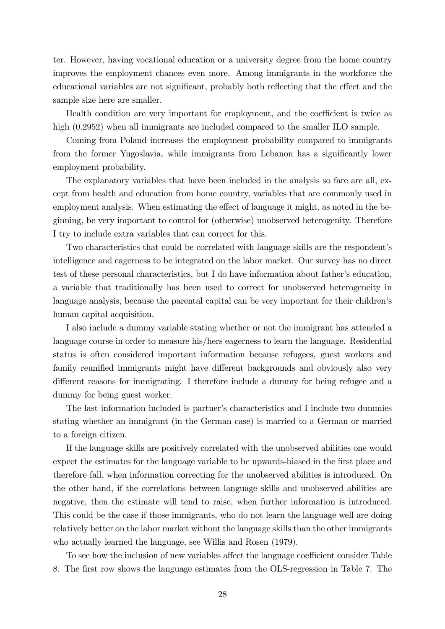ter. However, having vocational education or a university degree from the home country improves the employment chances even more. Among immigrants in the workforce the educational variables are not significant, probably both reflecting that the effect and the sample size here are smaller.

Health condition are very important for employment, and the coefficient is twice as high (0.2952) when all immigrants are included compared to the smaller ILO sample.

Coming from Poland increases the employment probability compared to immigrants from the former Yugoslavia, while immigrants from Lebanon has a significantly lower employment probability.

The explanatory variables that have been included in the analysis so fare are all, except from health and education from home country, variables that are commonly used in employment analysis. When estimating the effect of language it might, as noted in the beginning, be very important to control for (otherwise) unobserved heterogenity. Therefore I try to include extra variables that can correct for this.

Two characteristics that could be correlated with language skills are the respondent's intelligence and eagerness to be integrated on the labor market. Our survey has no direct test of these personal characteristics, but I do have information about father's education, a variable that traditionally has been used to correct for unobserved heterogeneity in language analysis, because the parental capital can be very important for their children's human capital acquisition.

I also include a dummy variable stating whether or not the immigrant has attended a language course in order to measure his/hers eagerness to learn the language. Residential status is often considered important information because refugees, guest workers and family reunified immigrants might have different backgrounds and obviously also very different reasons for immigrating. I therefore include a dummy for being refugee and a dummy for being guest worker.

The last information included is partner's characteristics and I include two dummies stating whether an immigrant (in the German case) is married to a German or married to a foreign citizen.

If the language skills are positively correlated with the unobserved abilities one would expect the estimates for the language variable to be upwards-biased in the first place and therefore fall, when information correcting for the unobserved abilities is introduced. On the other hand, if the correlations between language skills and unobserved abilities are negative, then the estimate will tend to raise, when further information is introduced. This could be the case if those immigrants, who do not learn the language well are doing relatively better on the labor market without the language skills than the other immigrants who actually learned the language, see Willis and Rosen (1979).

To see how the inclusion of new variables affect the language coefficient consider Table 8. The first row shows the language estimates from the OLS-regression in Table 7. The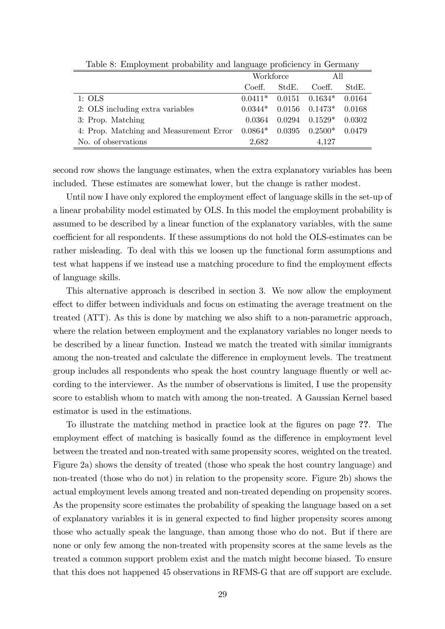|                                                                  | Workforce |       | All                |        |
|------------------------------------------------------------------|-----------|-------|--------------------|--------|
|                                                                  | Coeff.    | StdE. | Coeff.             | StdE.  |
| 1: OLS                                                           | $0.0411*$ |       | $0.0151$ $0.1634*$ | 0.0164 |
| 2: OLS including extra variables                                 | $0.0344*$ |       | $0.0156$ $0.1473*$ | 0.0168 |
| 3: Prop. Matching                                                | 0.0364    |       | $0.0294$ $0.1529*$ | 0.0302 |
| 4: Prop. Matching and Measurement Error $0.0864*$ 0.0395 0.2500* |           |       |                    | 0.0479 |
| No. of observations                                              | 2,682     |       | 4.127              |        |

Table 8: Employment probability and language proficiency in Germany

second row shows the language estimates, when the extra explanatory variables has been included. These estimates are somewhat lower, but the change is rather modest.

Until now I have only explored the employment effect of language skills in the set-up of a linear probability model estimated by OLS. In this model the employment probability is assumed to be described by a linear function of the explanatory variables, with the same coefficient for all respondents. If these assumptions do not hold the OLS-estimates can be rather misleading. To deal with this we loosen up the functional form assumptions and test what happens if we instead use a matching procedure to find the employment effects of language skills.

This alternative approach is described in section 3. We now allow the employment effect to differ between individuals and focus on estimating the average treatment on the treated (ATT). As this is done by matching we also shift to a non-parametric approach, where the relation between employment and the explanatory variables no longer needs to be described by a linear function. Instead we match the treated with similar immigrants among the non-treated and calculate the difference in employment levels. The treatment group includes all respondents who speak the host country language fluently or well according to the interviewer. As the number of observations is limited, I use the propensity score to establish whom to match with among the non-treated. A Gaussian Kernel based estimator is used in the estimations.

To illustrate the matching method in practice look at the Ögures on page ??. The employment effect of matching is basically found as the difference in employment level between the treated and non-treated with same propensity scores, weighted on the treated. Figure 2a) shows the density of treated (those who speak the host country language) and non-treated (those who do not) in relation to the propensity score. Figure 2b) shows the actual employment levels among treated and non-treated depending on propensity scores. As the propensity score estimates the probability of speaking the language based on a set of explanatory variables it is in general expected to Önd higher propensity scores among those who actually speak the language, than among those who do not. But if there are none or only few among the non-treated with propensity scores at the same levels as the treated a common support problem exist and the match might become biased. To ensure that this does not happened 45 observations in RFMS-G that are off support are exclude.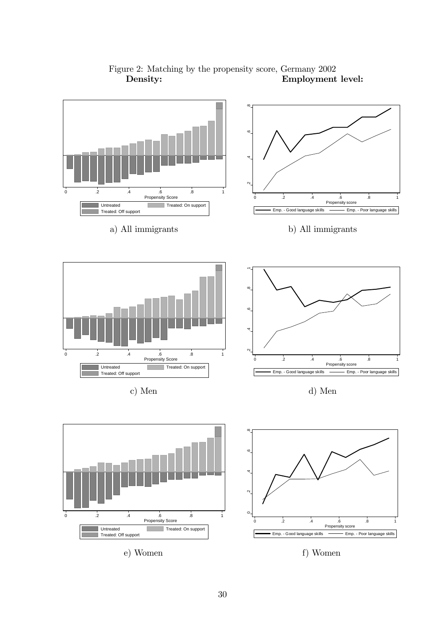

# Figure 2: Matching by the propensity score, Germany 2002<br>Density: Employment Employment level: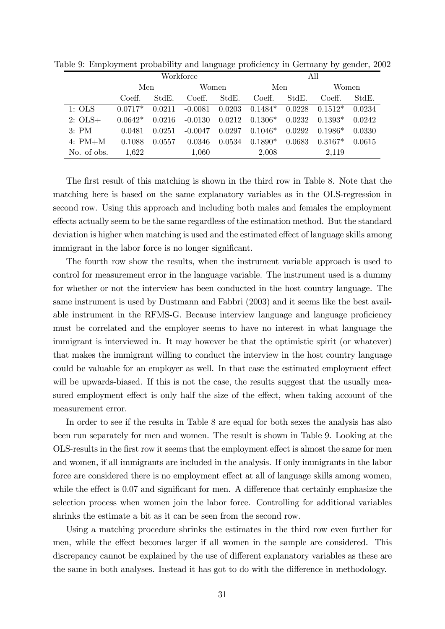|             |           |        | Workforce |        |           |        | All       |        |
|-------------|-----------|--------|-----------|--------|-----------|--------|-----------|--------|
|             | Men       |        | Women     |        | Men       |        | Women     |        |
|             | Coeff.    | StdE.  | Coeff.    | StdE.  | Coeff.    | StdE.  | Coeff.    | StdE.  |
| 1:OLS       | $0.0717*$ | 0.0211 | $-0.0081$ | 0.0203 | $0.1484*$ | 0.0228 | $0.1512*$ | 0.0234 |
| $2: OLS+$   | $0.0642*$ | 0.0216 | $-0.0130$ | 0.0212 | $0.1306*$ | 0.0232 | $0.1393*$ | 0.0242 |
| 3:PM        | 0.0481    | 0.0251 | $-0.0047$ | 0.0297 | $0.1046*$ | 0.0292 | $0.1986*$ | 0.0330 |
| 4: $PM+M$   | 0.1088    | 0.0557 | 0.0346    | 0.0534 | $0.1890*$ | 0.0683 | $0.3167*$ | 0.0615 |
| No. of obs. | 1,622     |        | 1,060     |        | 2,008     |        | 2,119     |        |

Table 9: Employment probability and language proficiency in Germany by gender, 2002

The first result of this matching is shown in the third row in Table 8. Note that the matching here is based on the same explanatory variables as in the OLS-regression in second row. Using this approach and including both males and females the employment effects actually seem to be the same regardless of the estimation method. But the standard deviation is higher when matching is used and the estimated effect of language skills among immigrant in the labor force is no longer significant.

The fourth row show the results, when the instrument variable approach is used to control for measurement error in the language variable. The instrument used is a dummy for whether or not the interview has been conducted in the host country language. The same instrument is used by Dustmann and Fabbri (2003) and it seems like the best available instrument in the RFMS-G. Because interview language and language proficiency must be correlated and the employer seems to have no interest in what language the immigrant is interviewed in. It may however be that the optimistic spirit (or whatever) that makes the immigrant willing to conduct the interview in the host country language could be valuable for an employer as well. In that case the estimated employment effect will be upwards-biased. If this is not the case, the results suggest that the usually measured employment effect is only half the size of the effect, when taking account of the measurement error.

In order to see if the results in Table 8 are equal for both sexes the analysis has also been run separately for men and women. The result is shown in Table 9. Looking at the OLS-results in the first row it seems that the employment effect is almost the same for men and women, if all immigrants are included in the analysis. If only immigrants in the labor force are considered there is no employment effect at all of language skills among women, while the effect is  $0.07$  and significant for men. A difference that certainly emphasize the selection process when women join the labor force. Controlling for additional variables shrinks the estimate a bit as it can be seen from the second row.

Using a matching procedure shrinks the estimates in the third row even further for men, while the effect becomes larger if all women in the sample are considered. This discrepancy cannot be explained by the use of different explanatory variables as these are the same in both analyses. Instead it has got to do with the difference in methodology.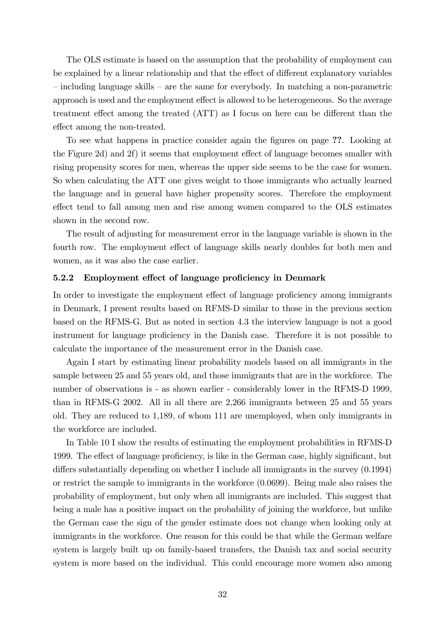The OLS estimate is based on the assumption that the probability of employment can be explained by a linear relationship and that the effect of different explanatory variables  $\overline{\phantom{a}}$  including language skills  $\overline{\phantom{a}}$  are the same for everybody. In matching a non-parametric approach is used and the employment effect is allowed to be heterogeneous. So the average treatment effect among the treated  $(ATT)$  as I focus on here can be different than the effect among the non-treated.

To see what happens in practice consider again the Ögures on page ??. Looking at the Figure 2d) and 2f) it seems that employment effect of language becomes smaller with rising propensity scores for men, whereas the upper side seems to be the case for women. So when calculating the ATT one gives weight to those immigrants who actually learned the language and in general have higher propensity scores. Therefore the employment effect tend to fall among men and rise among women compared to the OLS estimates shown in the second row.

The result of adjusting for measurement error in the language variable is shown in the fourth row. The employment effect of language skills nearly doubles for both men and women, as it was also the case earlier.

#### 5.2.2 Employment effect of language proficiency in Denmark

In order to investigate the employment effect of language proficiency among immigrants in Denmark, I present results based on RFMS-D similar to those in the previous section based on the RFMS-G. But as noted in section 4.3 the interview language is not a good instrument for language proficiency in the Danish case. Therefore it is not possible to calculate the importance of the measurement error in the Danish case.

Again I start by estimating linear probability models based on all immigrants in the sample between 25 and 55 years old, and those immigrants that are in the workforce. The number of observations is - as shown earlier - considerably lower in the RFMS-D 1999, than in RFMS-G 2002. All in all there are 2,266 immigrants between 25 and 55 years old. They are reduced to 1,189, of whom 111 are unemployed, when only immigrants in the workforce are included.

In Table 10 I show the results of estimating the employment probabilities in RFMS-D 1999. The effect of language proficiency, is like in the German case, highly significant, but differs substantially depending on whether I include all immigrants in the survey  $(0.1994)$ or restrict the sample to immigrants in the workforce (0.0699). Being male also raises the probability of employment, but only when all immigrants are included. This suggest that being a male has a positive impact on the probability of joining the workforce, but unlike the German case the sign of the gender estimate does not change when looking only at immigrants in the workforce. One reason for this could be that while the German welfare system is largely built up on family-based transfers, the Danish tax and social security system is more based on the individual. This could encourage more women also among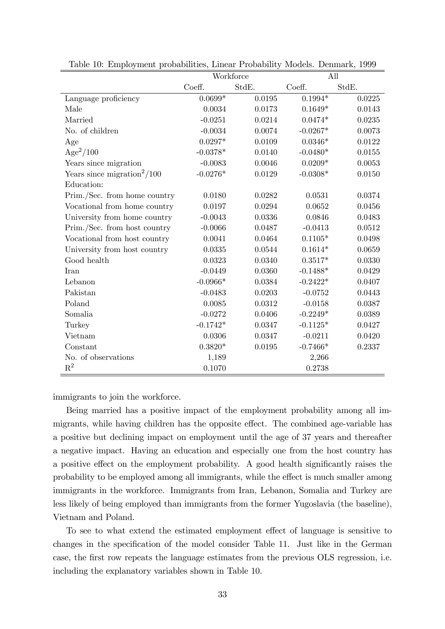|                                         |                 | Workforce |                 | All    |
|-----------------------------------------|-----------------|-----------|-----------------|--------|
|                                         | Coeff.          | StdE.     | Coeff.          | StdE.  |
| Language proficiency                    | $0.0699*$       | 0.0195    | $0.1994*$       | 0.0225 |
| Male                                    | 0.0034          | 0.0173    | $0.1649*$       | 0.0143 |
| Married                                 | $-0.0251$       | 0.0214    | $0.0474*$       | 0.0235 |
| No. of children                         | $-0.0034$       | 0.0074    | $-0.0267*$      | 0.0073 |
| Age                                     | $0.0297^{\ast}$ | 0.0109    | $0.0346*$       | 0.0122 |
| $Age^2/100$                             | $-0.0378*$      | 0.0140    | $-0.0480*$      | 0.0155 |
| Years since migration                   | $-0.0083$       | 0.0046    | $0.0209*$       | 0.0053 |
| Years since migration <sup>2</sup> /100 | $-0.0276*$      | 0.0129    | $-0.0308*$      | 0.0150 |
| Education:                              |                 |           |                 |        |
| Prim./Sec. from home country            | 0.0180          | 0.0282    | 0.0531          | 0.0374 |
| Vocational from home country            | 0.0197          | 0.0294    | 0.0652          | 0.0456 |
| University from home country            | $-0.0043$       | 0.0336    | 0.0846          | 0.0483 |
| Prim./Sec. from host country            | $-0.0066$       | 0.0487    | $-0.0413$       | 0.0512 |
| Vocational from host country            | 0.0041          | 0.0464    | $0.1105^{\ast}$ | 0.0498 |
| University from host country            | 0.0335          | 0.0544    | $0.1614*$       | 0.0659 |
| Good health                             | 0.0323          | 0.0340    | $0.3517*$       | 0.0330 |
| Iran                                    | $-0.0449$       | 0.0360    | $-0.1488*$      | 0.0429 |
| Lebanon                                 | $-0.0966*$      | 0.0384    | $-0.2422*$      | 0.0407 |
| Pakistan                                | $-0.0483$       | 0.0203    | $-0.0752$       | 0.0443 |
| Poland                                  | 0.0085          | 0.0312    | $-0.0158$       | 0.0387 |
| Somalia                                 | $-0.0272$       | 0.0406    | $-0.2249*$      | 0.0389 |
| Turkey                                  | $-0.1742*$      | 0.0347    | $-0.1125*$      | 0.0427 |
| Vietnam                                 | 0.0306          | 0.0347    | $-0.0211$       | 0.0420 |
| Constant                                | $0.3820*$       | 0.0195    | $-0.7466*$      | 0.2337 |
| No. of observations                     | 1,189           |           | 2,266           |        |
| $R^2$                                   | 0.1070          |           | 0.2738          |        |

Table 10: Employment probabilities, Linear Probability Models. Denmark, 1999

immigrants to join the workforce.

Being married has a positive impact of the employment probability among all immigrants, while having children has the opposite effect. The combined age-variable has a positive but declining impact on employment until the age of 37 years and thereafter a negative impact. Having an education and especially one from the host country has a positive effect on the employment probability. A good health significantly raises the probability to be employed among all immigrants, while the effect is much smaller among immigrants in the workforce. Immigrants from Iran, Lebanon, Somalia and Turkey are less likely of being employed than immigrants from the former Yugoslavia (the baseline), Vietnam and Poland.

To see to what extend the estimated employment effect of language is sensitive to changes in the specification of the model consider Table 11. Just like in the German case, the first row repeats the language estimates from the previous OLS regression, i.e. including the explanatory variables shown in Table 10.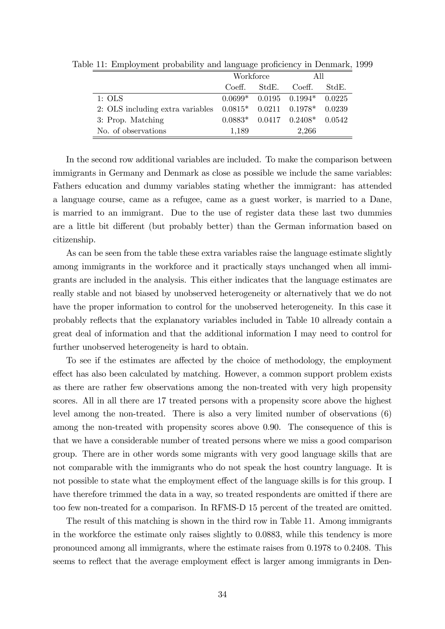|                                                                        | Workforce |       | All                                   |       |
|------------------------------------------------------------------------|-----------|-------|---------------------------------------|-------|
|                                                                        | Coeff.    | StdE. | Coeff.                                | StdE. |
| 1: OLS                                                                 |           |       | $0.0699*$ 0.0195 0.1994* 0.0225       |       |
| 2: OLS including extra variables $0.0815*$ $0.0211$ $0.1978*$ $0.0239$ |           |       |                                       |       |
| 3: Prop. Matching                                                      |           |       | $0.0883*$ $0.0417$ $0.2408*$ $0.0542$ |       |
| No. of observations                                                    | 1,189     |       | 2,266                                 |       |

Table 11: Employment probability and language proficiency in Denmark, 1999

In the second row additional variables are included. To make the comparison between immigrants in Germany and Denmark as close as possible we include the same variables: Fathers education and dummy variables stating whether the immigrant: has attended a language course, came as a refugee, came as a guest worker, is married to a Dane, is married to an immigrant. Due to the use of register data these last two dummies are a little bit different (but probably better) than the German information based on citizenship.

As can be seen from the table these extra variables raise the language estimate slightly among immigrants in the workforce and it practically stays unchanged when all immigrants are included in the analysis. This either indicates that the language estimates are really stable and not biased by unobserved heterogeneity or alternatively that we do not have the proper information to control for the unobserved heterogeneity. In this case it probably reflects that the explanatory variables included in Table 10 allready contain a great deal of information and that the additional information I may need to control for further unobserved heterogeneity is hard to obtain.

To see if the estimates are affected by the choice of methodology, the employment effect has also been calculated by matching. However, a common support problem exists as there are rather few observations among the non-treated with very high propensity scores. All in all there are 17 treated persons with a propensity score above the highest level among the non-treated. There is also a very limited number of observations (6) among the non-treated with propensity scores above 0.90. The consequence of this is that we have a considerable number of treated persons where we miss a good comparison group. There are in other words some migrants with very good language skills that are not comparable with the immigrants who do not speak the host country language. It is not possible to state what the employment effect of the language skills is for this group. I have therefore trimmed the data in a way, so treated respondents are omitted if there are too few non-treated for a comparison. In RFMS-D 15 percent of the treated are omitted.

The result of this matching is shown in the third row in Table 11. Among immigrants in the workforce the estimate only raises slightly to 0.0883, while this tendency is more pronounced among all immigrants, where the estimate raises from 0.1978 to 0.2408. This seems to reflect that the average employment effect is larger among immigrants in Den-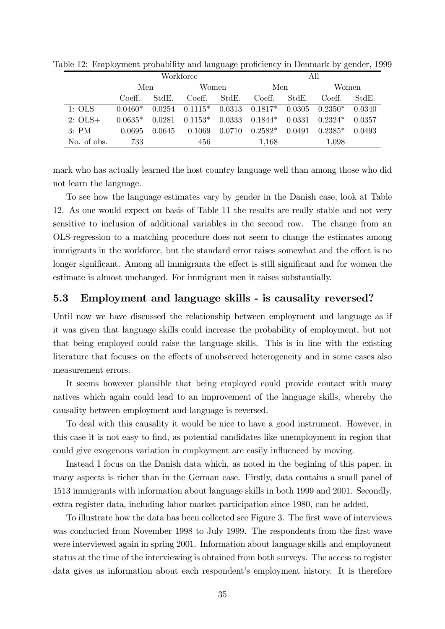|             |           |        | Workforce                                      |        |           |        | All                |        |
|-------------|-----------|--------|------------------------------------------------|--------|-----------|--------|--------------------|--------|
|             | Men       |        | Women.                                         |        | Men       |        | Women              |        |
|             | Coeff.    | StdE.  | Coeff.                                         | StdE.  | Coeff.    | StdE.  | Coeff.             | StdE.  |
| 1: OLS      | $0.0460*$ |        | $0.0254$ $0.1115*$ $0.0313$ $0.1817*$ $0.0305$ |        |           |        | $0.2350*$          | 0.0340 |
| $2: OLS+$   | $0.0635*$ | 0.0281 | $0.1153*$ 0.0333                               |        | $0.1844*$ |        | $0.0331$ $0.2324*$ | 0.0357 |
| 3:PM        | 0.0695    | 0.0645 | 0.1069                                         | 0.0710 | $0.2582*$ | 0.0491 | $0.2385*$          | 0.0493 |
| No. of obs. | 733       |        | 456                                            |        | 1,168     |        | 1,098              |        |

Table 12: Employment probability and language proficiency in Denmark by gender, 1999

mark who has actually learned the host country language well than among those who did not learn the language.

To see how the language estimates vary by gender in the Danish case, look at Table 12. As one would expect on basis of Table 11 the results are really stable and not very sensitive to inclusion of additional variables in the second row. The change from an OLS-regression to a matching procedure does not seem to change the estimates among immigrants in the workforce, but the standard error raises somewhat and the effect is no longer significant. Among all immigrants the effect is still significant and for women the estimate is almost unchanged. For immigrant men it raises substantially.

#### 5.3 Employment and language skills - is causality reversed?

Until now we have discussed the relationship between employment and language as if it was given that language skills could increase the probability of employment, but not that being employed could raise the language skills. This is in line with the existing literature that focuses on the effects of unobserved heterogeneity and in some cases also measurement errors.

It seems however plausible that being employed could provide contact with many natives which again could lead to an improvement of the language skills, whereby the causality between employment and language is reversed.

To deal with this causality it would be nice to have a good instrument. However, in this case it is not easy to Önd, as potential candidates like unemployment in region that could give exogenous variation in employment are easily influenced by moving.

Instead I focus on the Danish data which, as noted in the begining of this paper, in many aspects is richer than in the German case. Firstly, data contains a small panel of 1513 immigrants with information about language skills in both 1999 and 2001. Secondly, extra register data, including labor market participation since 1980, can be added.

To illustrate how the data has been collected see Figure 3. The first wave of interviews was conducted from November 1998 to July 1999. The respondents from the first wave were interviewed again in spring 2001. Information about language skills and employment status at the time of the interviewing is obtained from both surveys. The access to register data gives us information about each respondent's employment history. It is therefore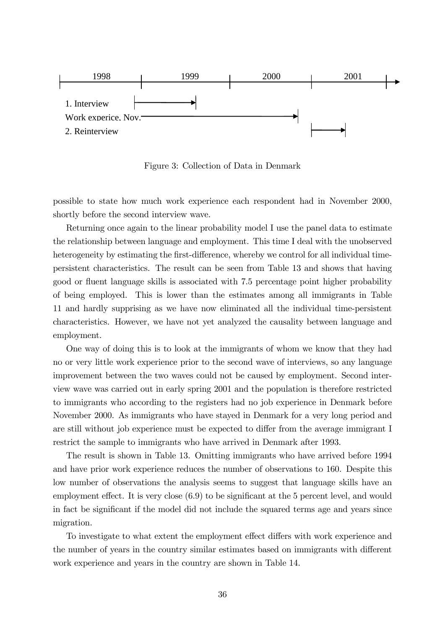

Figure 3: Collection of Data in Denmark

possible to state how much work experience each respondent had in November 2000, shortly before the second interview wave.

Returning once again to the linear probability model I use the panel data to estimate the relationship between language and employment. This time I deal with the unobserved heterogeneity by estimating the first-difference, whereby we control for all individual timepersistent characteristics. The result can be seen from Table 13 and shows that having good or fluent language skills is associated with 7.5 percentage point higher probability of being employed. This is lower than the estimates among all immigrants in Table 11 and hardly supprising as we have now eliminated all the individual time-persistent characteristics. However, we have not yet analyzed the causality between language and employment.

One way of doing this is to look at the immigrants of whom we know that they had no or very little work experience prior to the second wave of interviews, so any language improvement between the two waves could not be caused by employment. Second interview wave was carried out in early spring 2001 and the population is therefore restricted to immigrants who according to the registers had no job experience in Denmark before November 2000. As immigrants who have stayed in Denmark for a very long period and are still without job experience must be expected to differ from the average immigrant I restrict the sample to immigrants who have arrived in Denmark after 1993.

The result is shown in Table 13. Omitting immigrants who have arrived before 1994 and have prior work experience reduces the number of observations to 160. Despite this low number of observations the analysis seems to suggest that language skills have an employment effect. It is very close  $(6.9)$  to be significant at the 5 percent level, and would in fact be significant if the model did not include the squared terms age and years since migration.

To investigate to what extent the employment effect differs with work experience and the number of years in the country similar estimates based on immigrants with different work experience and years in the country are shown in Table 14.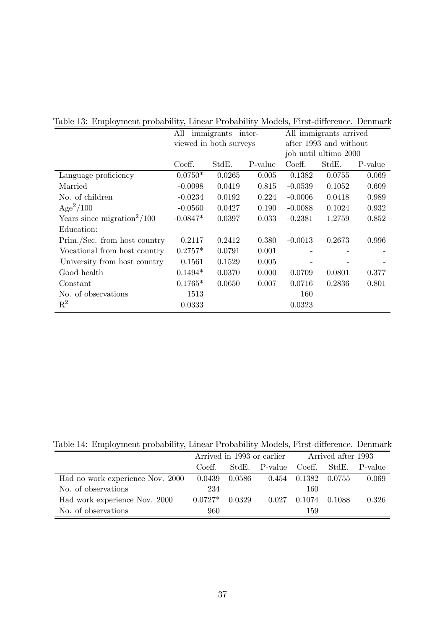|                                         | All        | immigrants inter-      |         | All immigrants arrived |        |         |  |
|-----------------------------------------|------------|------------------------|---------|------------------------|--------|---------|--|
|                                         |            | viewed in both surveys |         | after 1993 and without |        |         |  |
|                                         |            |                        |         | job until ultimo 2000  |        |         |  |
|                                         | Coeff.     | StdE.                  | P-value | Coeff.                 | StdE.  | P-value |  |
| Language proficiency                    | $0.0750*$  | 0.0265                 | 0.005   | 0.1382                 | 0.0755 | 0.069   |  |
| Married                                 | $-0.0098$  | 0.0419                 | 0.815   | $-0.0539$              | 0.1052 | 0.609   |  |
| No. of children                         | $-0.0234$  | 0.0192                 | 0.224   | $-0.0006$              | 0.0418 | 0.989   |  |
| $Age^2/100$                             | $-0.0560$  | 0.0427                 | 0.190   | $-0.0088$              | 0.1024 | 0.932   |  |
| Years since migration <sup>2</sup> /100 | $-0.0847*$ | 0.0397                 | 0.033   | $-0.2381$              | 1.2759 | 0.852   |  |
| Education:                              |            |                        |         |                        |        |         |  |
| Prim./Sec. from host country            | 0.2117     | 0.2412                 | 0.380   | $-0.0013$              | 0.2673 | 0.996   |  |
| Vocational from host country            | $0.2757*$  | 0.0791                 | 0.001   |                        |        |         |  |
| University from host country            | 0.1561     | 0.1529                 | 0.005   |                        |        |         |  |
| Good health                             | $0.1494*$  | 0.0370                 | 0.000   | 0.0709                 | 0.0801 | 0.377   |  |
| Constant                                | $0.1765*$  | 0.0650                 | 0.007   | 0.0716                 | 0.2836 | 0.801   |  |
| No. of observations                     | 1513       |                        |         | 160                    |        |         |  |
| $\mathrm{R}^2$                          | 0.0333     |                        |         | 0.0323                 |        |         |  |

Table 13: Employment probability, Linear Probability Models, First-difference. Denmark

|  |  |  |  |  |  | Table 14: Employment probability, Linear Probability Models, First-difference. Denmark |  |
|--|--|--|--|--|--|----------------------------------------------------------------------------------------|--|
|--|--|--|--|--|--|----------------------------------------------------------------------------------------|--|

|                                  | Arrived in 1993 or earlier Arrived after 1993 |        |                            |                  |        |         |
|----------------------------------|-----------------------------------------------|--------|----------------------------|------------------|--------|---------|
|                                  | Coeff.                                        |        | StdE. P-value Coeff. StdE. |                  |        | P-value |
| Had no work experience Nov. 2000 | 0.0439                                        | 0.0586 |                            | $0.454$ $0.1382$ | 0.0755 | 0.069   |
| No. of observations              | 234                                           |        |                            | 160              |        |         |
| Had work experience Nov. 2000    | $0.0727*$                                     | 0.0329 | 0.027                      | 0.1074           | 0.1088 | 0.326   |
| No. of observations              | 960                                           |        |                            | 159              |        |         |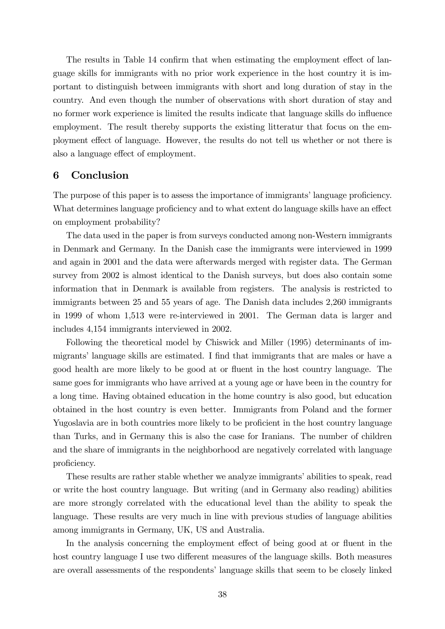The results in Table 14 confirm that when estimating the employment effect of language skills for immigrants with no prior work experience in the host country it is important to distinguish between immigrants with short and long duration of stay in the country. And even though the number of observations with short duration of stay and no former work experience is limited the results indicate that language skills do influence employment. The result thereby supports the existing litteratur that focus on the employment effect of language. However, the results do not tell us whether or not there is also a language effect of employment.

#### 6 Conclusion

The purpose of this paper is to assess the importance of immigrants' language proficiency. What determines language proficiency and to what extent do language skills have an effect on employment probability?

The data used in the paper is from surveys conducted among non-Western immigrants in Denmark and Germany. In the Danish case the immigrants were interviewed in 1999 and again in 2001 and the data were afterwards merged with register data. The German survey from 2002 is almost identical to the Danish surveys, but does also contain some information that in Denmark is available from registers. The analysis is restricted to immigrants between 25 and 55 years of age. The Danish data includes 2,260 immigrants in 1999 of whom 1,513 were re-interviewed in 2001. The German data is larger and includes 4,154 immigrants interviewed in 2002.

Following the theoretical model by Chiswick and Miller (1995) determinants of immigrants' language skills are estimated. I find that immigrants that are males or have a good health are more likely to be good at or fluent in the host country language. The same goes for immigrants who have arrived at a young age or have been in the country for a long time. Having obtained education in the home country is also good, but education obtained in the host country is even better. Immigrants from Poland and the former Yugoslavia are in both countries more likely to be proficient in the host country language than Turks, and in Germany this is also the case for Iranians. The number of children and the share of immigrants in the neighborhood are negatively correlated with language proficiency.

These results are rather stable whether we analyze immigrants' abilities to speak, read or write the host country language. But writing (and in Germany also reading) abilities are more strongly correlated with the educational level than the ability to speak the language. These results are very much in line with previous studies of language abilities among immigrants in Germany, UK, US and Australia.

In the analysis concerning the employment effect of being good at or fluent in the host country language I use two different measures of the language skills. Both measures are overall assessments of the respondents' language skills that seem to be closely linked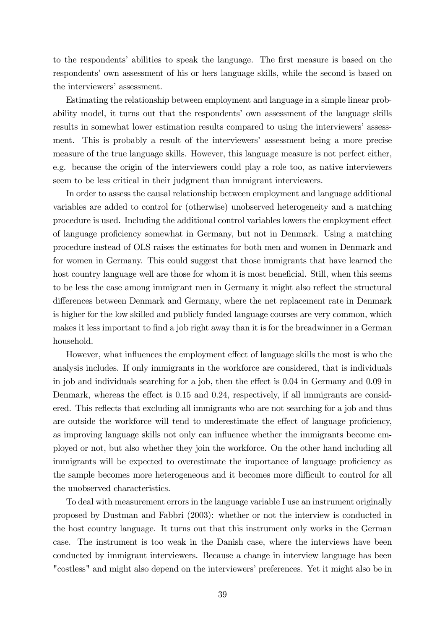to the respondents' abilities to speak the language. The first measure is based on the respondents' own assessment of his or hers language skills, while the second is based on the interviewers' assessment.

Estimating the relationship between employment and language in a simple linear probability model, it turns out that the respondents' own assessment of the language skills results in somewhat lower estimation results compared to using the interviewers' assessment. This is probably a result of the interviewersí assessment being a more precise measure of the true language skills. However, this language measure is not perfect either, e.g. because the origin of the interviewers could play a role too, as native interviewers seem to be less critical in their judgment than immigrant interviewers.

In order to assess the causal relationship between employment and language additional variables are added to control for (otherwise) unobserved heterogeneity and a matching procedure is used. Including the additional control variables lowers the employment effect of language proÖciency somewhat in Germany, but not in Denmark. Using a matching procedure instead of OLS raises the estimates for both men and women in Denmark and for women in Germany. This could suggest that those immigrants that have learned the host country language well are those for whom it is most beneficial. Still, when this seems to be less the case among immigrant men in Germany it might also reflect the structural differences between Denmark and Germany, where the net replacement rate in Denmark is higher for the low skilled and publicly funded language courses are very common, which makes it less important to find a job right away than it is for the breadwinner in a German household.

However, what influences the employment effect of language skills the most is who the analysis includes. If only immigrants in the workforce are considered, that is individuals in job and individuals searching for a job, then the effect is  $0.04$  in Germany and  $0.09$  in Denmark, whereas the effect is  $0.15$  and  $0.24$ , respectively, if all immigrants are considered. This reflects that excluding all immigrants who are not searching for a job and thus are outside the workforce will tend to underestimate the effect of language proficiency, as improving language skills not only can influence whether the immigrants become employed or not, but also whether they join the workforce. On the other hand including all immigrants will be expected to overestimate the importance of language proficiency as the sample becomes more heterogeneous and it becomes more difficult to control for all the unobserved characteristics.

To deal with measurement errors in the language variable I use an instrument originally proposed by Dustman and Fabbri (2003): whether or not the interview is conducted in the host country language. It turns out that this instrument only works in the German case. The instrument is too weak in the Danish case, where the interviews have been conducted by immigrant interviewers. Because a change in interview language has been "costless" and might also depend on the interviewers' preferences. Yet it might also be in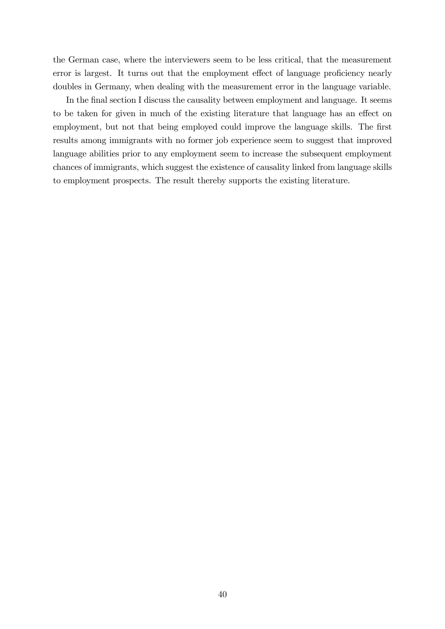the German case, where the interviewers seem to be less critical, that the measurement error is largest. It turns out that the employment effect of language proficiency nearly doubles in Germany, when dealing with the measurement error in the language variable.

In the final section I discuss the causality between employment and language. It seems to be taken for given in much of the existing literature that language has an effect on employment, but not that being employed could improve the language skills. The first results among immigrants with no former job experience seem to suggest that improved language abilities prior to any employment seem to increase the subsequent employment chances of immigrants, which suggest the existence of causality linked from language skills to employment prospects. The result thereby supports the existing literature.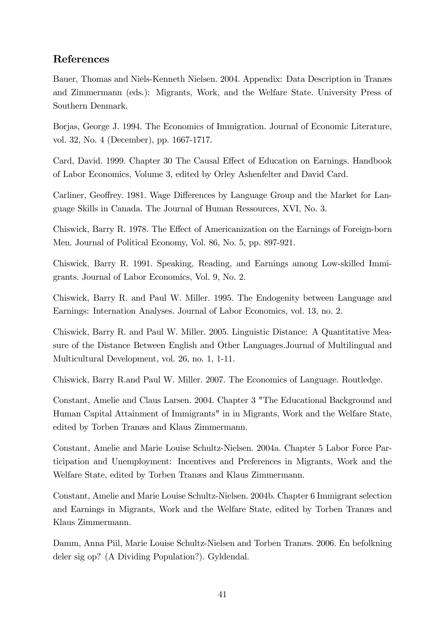# References

Bauer, Thomas and Niels-Kenneth Nielsen. 2004. Appendix: Data Description in Tranæs and Zimmermann (eds.): Migrants, Work, and the Welfare State. University Press of Southern Denmark.

Borjas, George J. 1994. The Economics of Immigration. Journal of Economic Literature, vol. 32, No. 4 (December), pp. 1667-1717.

Card, David. 1999. Chapter 30 The Causal Effect of Education on Earnings. Handbook of Labor Economics, Volume 3, edited by Orley Ashenfelter and David Card.

Carliner, Geoffrey. 1981. Wage Differences by Language Group and the Market for Language Skills in Canada. The Journal of Human Ressources, XVI, No. 3.

Chiswick, Barry R. 1978. The Effect of Americanization on the Earnings of Foreign-born Men. Journal of Political Economy, Vol. 86, No. 5, pp. 897-921.

Chiswick, Barry R. 1991. Speaking, Reading, and Earnings among Low-skilled Immigrants. Journal of Labor Economics, Vol. 9, No. 2.

Chiswick, Barry R. and Paul W. Miller. 1995. The Endogenity between Language and Earnings: Internation Analyses. Journal of Labor Economics, vol. 13, no. 2.

Chiswick, Barry R. and Paul W. Miller. 2005. Linguistic Distance: A Quantitative Measure of the Distance Between English and Other Languages.Journal of Multilingual and Multicultural Development, vol. 26, no. 1, 1-11.

Chiswick, Barry R.and Paul W. Miller. 2007. The Economics of Language. Routledge.

Constant, Amelie and Claus Larsen. 2004. Chapter 3 "The Educational Background and Human Capital Attainment of Immigrants" in in Migrants, Work and the Welfare State, edited by Torben Tranæs and Klaus Zimmermann.

Constant, Amelie and Marie Louise Schultz-Nielsen. 2004a. Chapter 5 Labor Force Participation and Unemployment: Incentives and Preferences in Migrants, Work and the Welfare State, edited by Torben Tranæs and Klaus Zimmermann.

Constant, Amelie and Marie Louise Schultz-Nielsen. 2004b. Chapter 6 Immigrant selection and Earnings in Migrants, Work and the Welfare State, edited by Torben Tranges and Klaus Zimmermann.

Damm, Anna Piil, Marie Louise Schultz-Nielsen and Torben Tranæs. 2006. En befolkning deler sig op? (A Dividing Population?). Gyldendal.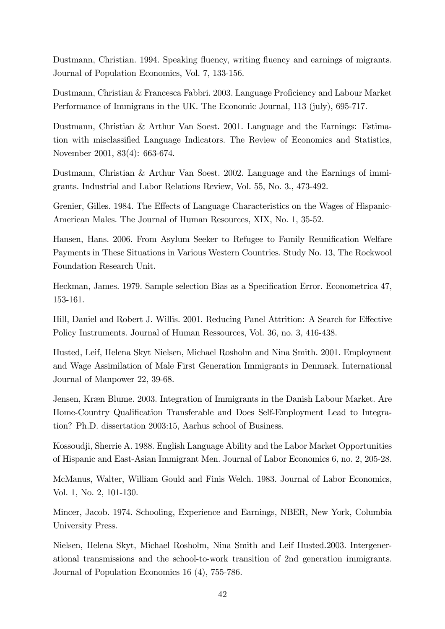Dustmann, Christian. 1994. Speaking fluency, writing fluency and earnings of migrants. Journal of Population Economics, Vol. 7, 133-156.

Dustmann, Christian & Francesca Fabbri. 2003. Language Proficiency and Labour Market Performance of Immigrans in the UK. The Economic Journal, 113 (july), 695-717.

Dustmann, Christian & Arthur Van Soest. 2001. Language and the Earnings: Estimation with misclassified Language Indicators. The Review of Economics and Statistics, November 2001, 83(4): 663-674.

Dustmann, Christian & Arthur Van Soest. 2002. Language and the Earnings of immigrants. Industrial and Labor Relations Review, Vol. 55, No. 3., 473-492.

Grenier, Gilles. 1984. The Effects of Language Characteristics on the Wages of Hispanic-American Males. The Journal of Human Resources, XIX, No. 1, 35-52.

Hansen, Hans. 2006. From Asylum Seeker to Refugee to Family Reunification Welfare Payments in These Situations in Various Western Countries. Study No. 13, The Rockwool Foundation Research Unit.

Heckman, James. 1979. Sample selection Bias as a Specification Error. Econometrica 47, 153-161.

Hill, Daniel and Robert J. Willis. 2001. Reducing Panel Attrition: A Search for Effective Policy Instruments. Journal of Human Ressources, Vol. 36, no. 3, 416-438.

Husted, Leif, Helena Skyt Nielsen, Michael Rosholm and Nina Smith. 2001. Employment and Wage Assimilation of Male First Generation Immigrants in Denmark. International Journal of Manpower 22, 39-68.

Jensen, Kræn Blume. 2003. Integration of Immigrants in the Danish Labour Market. Are Home-Country Qualification Transferable and Does Self-Employment Lead to Integration? Ph.D. dissertation 2003:15, Aarhus school of Business.

Kossoudji, Sherrie A. 1988. English Language Ability and the Labor Market Opportunities of Hispanic and East-Asian Immigrant Men. Journal of Labor Economics 6, no. 2, 205-28.

McManus, Walter, William Gould and Finis Welch. 1983. Journal of Labor Economics, Vol. 1, No. 2, 101-130.

Mincer, Jacob. 1974. Schooling, Experience and Earnings, NBER, New York, Columbia University Press.

Nielsen, Helena Skyt, Michael Rosholm, Nina Smith and Leif Husted.2003. Intergenerational transmissions and the school-to-work transition of 2nd generation immigrants. Journal of Population Economics 16 (4), 755-786.